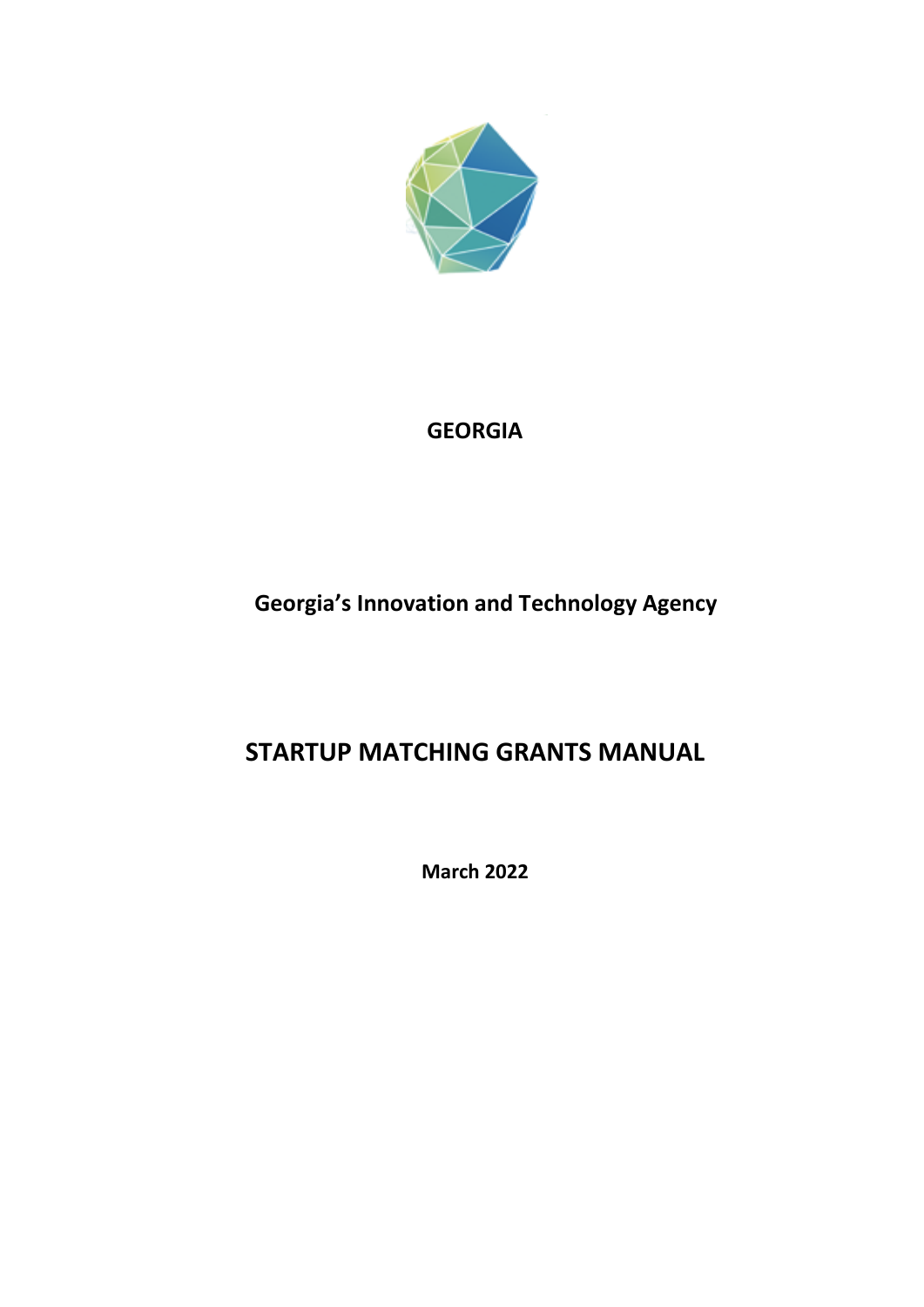

## **GEORGIA**

# **Georgia's Innovation and Technology Agency**

# **STARTUP MATCHING GRANTS MANUAL**

**March 2022**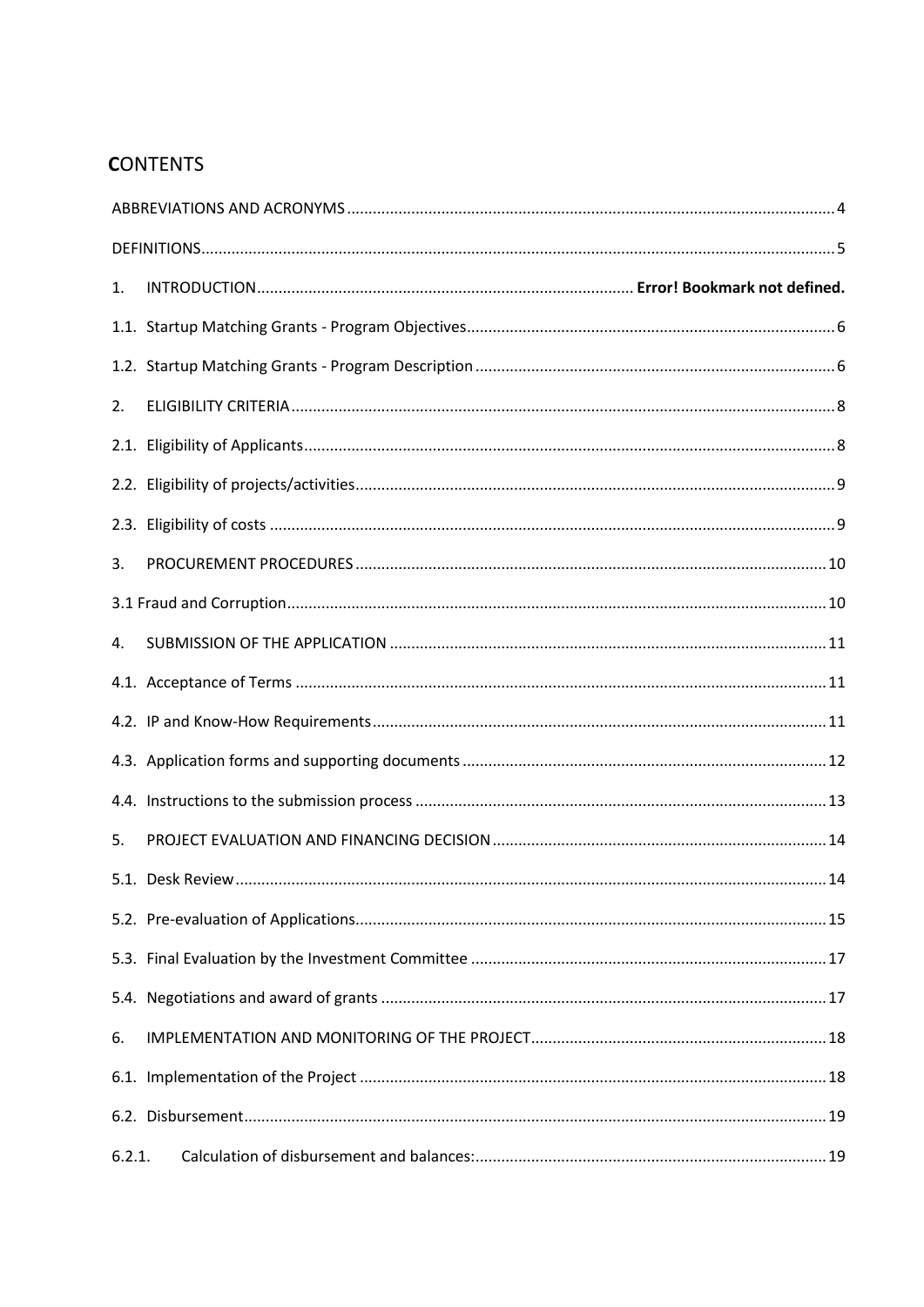## **CONTENTS**

| 1.     |  |  |  |  |  |
|--------|--|--|--|--|--|
|        |  |  |  |  |  |
|        |  |  |  |  |  |
| 2.     |  |  |  |  |  |
|        |  |  |  |  |  |
|        |  |  |  |  |  |
|        |  |  |  |  |  |
| 3.     |  |  |  |  |  |
|        |  |  |  |  |  |
| 4.     |  |  |  |  |  |
|        |  |  |  |  |  |
|        |  |  |  |  |  |
|        |  |  |  |  |  |
|        |  |  |  |  |  |
| 5.     |  |  |  |  |  |
|        |  |  |  |  |  |
|        |  |  |  |  |  |
|        |  |  |  |  |  |
|        |  |  |  |  |  |
| 6.     |  |  |  |  |  |
|        |  |  |  |  |  |
|        |  |  |  |  |  |
| 6.2.1. |  |  |  |  |  |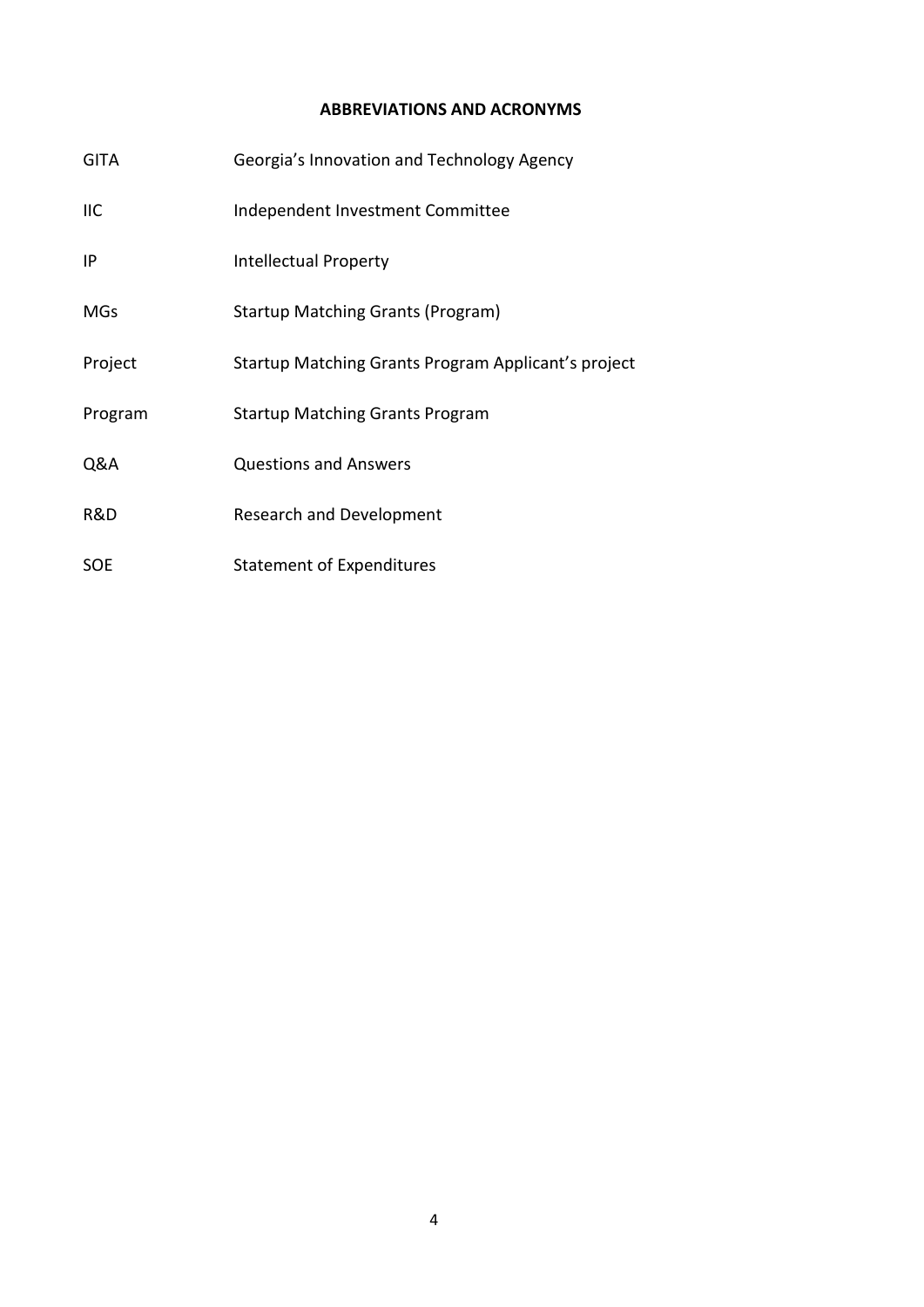#### **ABBREVIATIONS AND ACRONYMS**

<span id="page-3-0"></span>

| <b>GITA</b> | Georgia's Innovation and Technology Agency          |
|-------------|-----------------------------------------------------|
| <b>IIC</b>  | Independent Investment Committee                    |
| ΙP          | Intellectual Property                               |
| MGs         | <b>Startup Matching Grants (Program)</b>            |
| Project     | Startup Matching Grants Program Applicant's project |
| Program     | <b>Startup Matching Grants Program</b>              |
| Q&A         | <b>Questions and Answers</b>                        |
| R&D         | <b>Research and Development</b>                     |
| <b>SOE</b>  | Statement of Expenditures                           |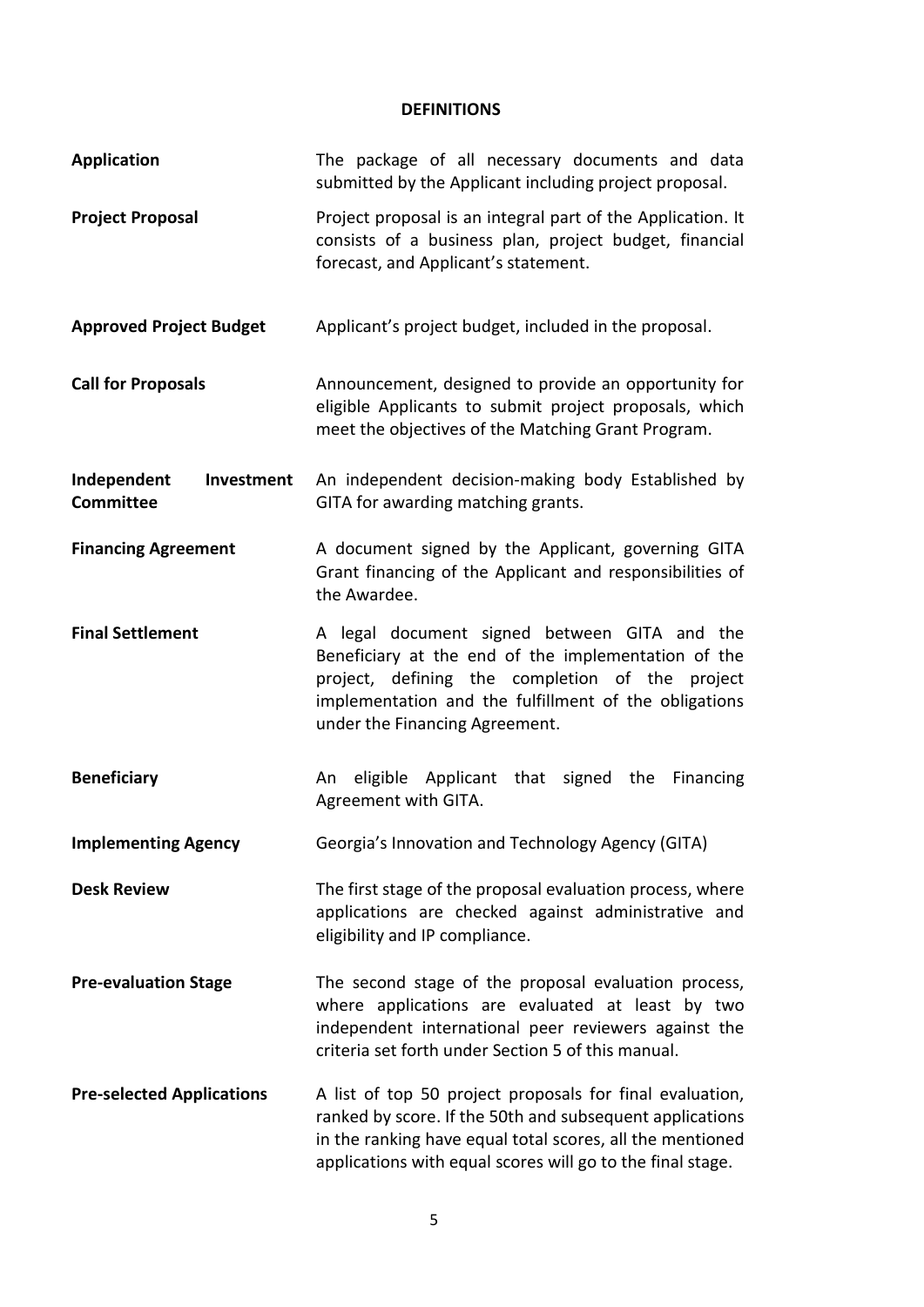#### **DEFINITIONS**

<span id="page-4-0"></span>

| <b>Application</b>                            | The package of all necessary documents and data<br>submitted by the Applicant including project proposal.                                                                                                                                         |
|-----------------------------------------------|---------------------------------------------------------------------------------------------------------------------------------------------------------------------------------------------------------------------------------------------------|
| <b>Project Proposal</b>                       | Project proposal is an integral part of the Application. It<br>consists of a business plan, project budget, financial<br>forecast, and Applicant's statement.                                                                                     |
| <b>Approved Project Budget</b>                | Applicant's project budget, included in the proposal.                                                                                                                                                                                             |
| <b>Call for Proposals</b>                     | Announcement, designed to provide an opportunity for<br>eligible Applicants to submit project proposals, which<br>meet the objectives of the Matching Grant Program.                                                                              |
| Independent<br>Investment<br><b>Committee</b> | An independent decision-making body Established by<br>GITA for awarding matching grants.                                                                                                                                                          |
| <b>Financing Agreement</b>                    | A document signed by the Applicant, governing GITA<br>Grant financing of the Applicant and responsibilities of<br>the Awardee.                                                                                                                    |
| <b>Final Settlement</b>                       | A legal document signed between GITA and the<br>Beneficiary at the end of the implementation of the<br>project, defining the completion of the project<br>implementation and the fulfillment of the obligations<br>under the Financing Agreement. |
| <b>Beneficiary</b>                            | eligible Applicant that signed the<br>Financing<br>An<br>Agreement with GITA.                                                                                                                                                                     |
| <b>Implementing Agency</b>                    | Georgia's Innovation and Technology Agency (GITA)                                                                                                                                                                                                 |
| <b>Desk Review</b>                            | The first stage of the proposal evaluation process, where<br>applications are checked against administrative and<br>eligibility and IP compliance.                                                                                                |
| <b>Pre-evaluation Stage</b>                   | The second stage of the proposal evaluation process,<br>where applications are evaluated at least by two<br>independent international peer reviewers against the<br>criteria set forth under Section 5 of this manual.                            |
| <b>Pre-selected Applications</b>              | A list of top 50 project proposals for final evaluation,<br>ranked by score. If the 50th and subsequent applications<br>in the ranking have equal total scores, all the mentioned<br>applications with equal scores will go to the final stage.   |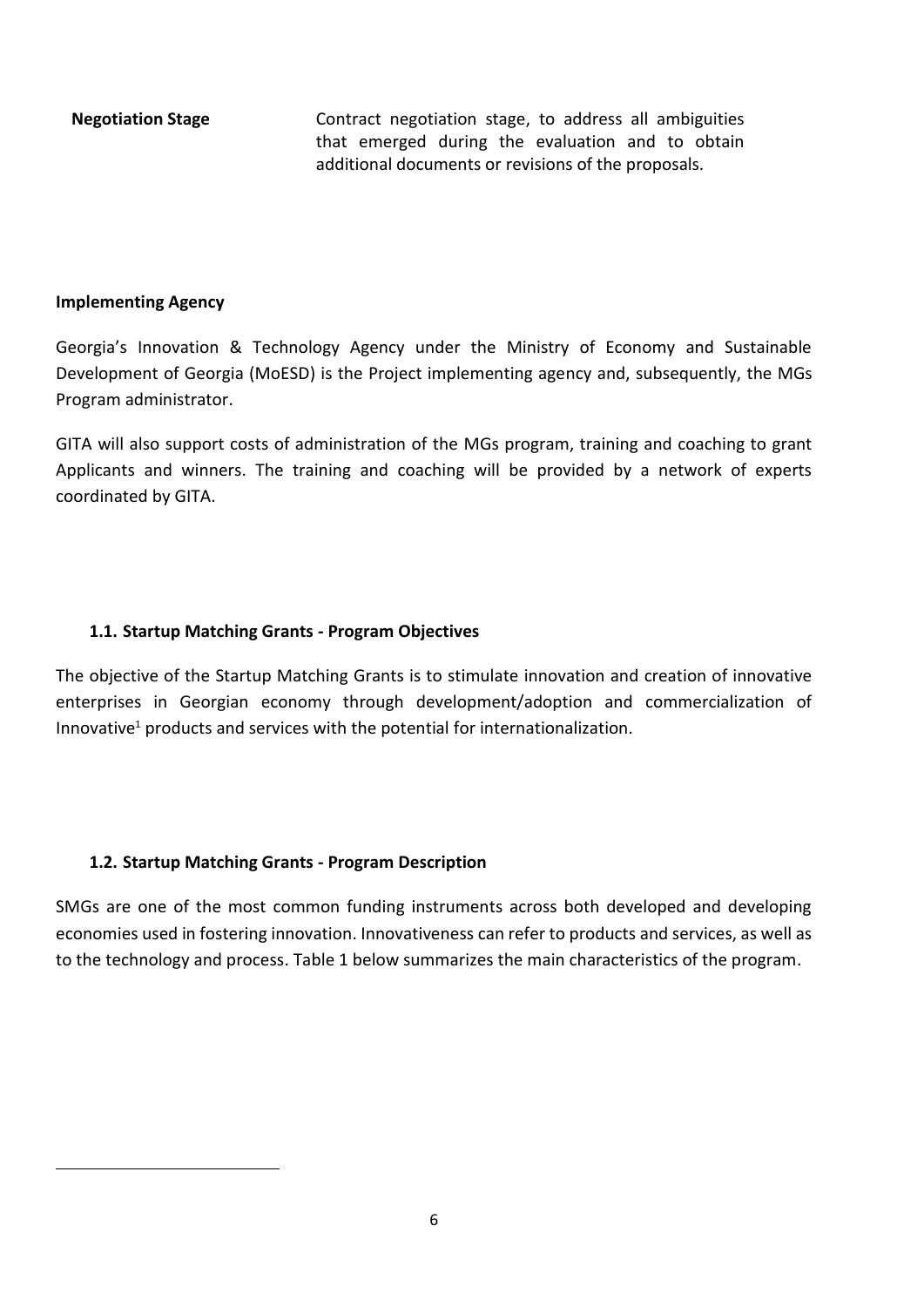**Negotiation Stage** Contract negotiation stage, to address all ambiguities that emerged during the evaluation and to obtain additional documents or revisions of the proposals.

#### **Implementing Agency**

**.** 

Georgia's Innovation & Technology Agency under the Ministry of Economy and Sustainable Development of Georgia (MoESD) is the Project implementing agency and, subsequently, the MGs Program administrator.

GITA will also support costs of administration of the MGs program, training and coaching to grant Applicants and winners. The training and coaching will be provided by a network of experts coordinated by GITA.

#### <span id="page-5-0"></span>**1.1. Startup Matching Grants - Program Objectives**

The objective of the Startup Matching Grants is to stimulate innovation and creation of innovative enterprises in Georgian economy through development/adoption and commercialization of Innovative<sup>1</sup> products and services with the potential for internationalization.

#### <span id="page-5-1"></span>**1.2. Startup Matching Grants - Program Description**

SMGs are one of the most common funding instruments across both developed and developing economies used in fostering innovation. Innovativeness can refer to products and services, as well as to the technology and process. Table 1 below summarizes the main characteristics of the program.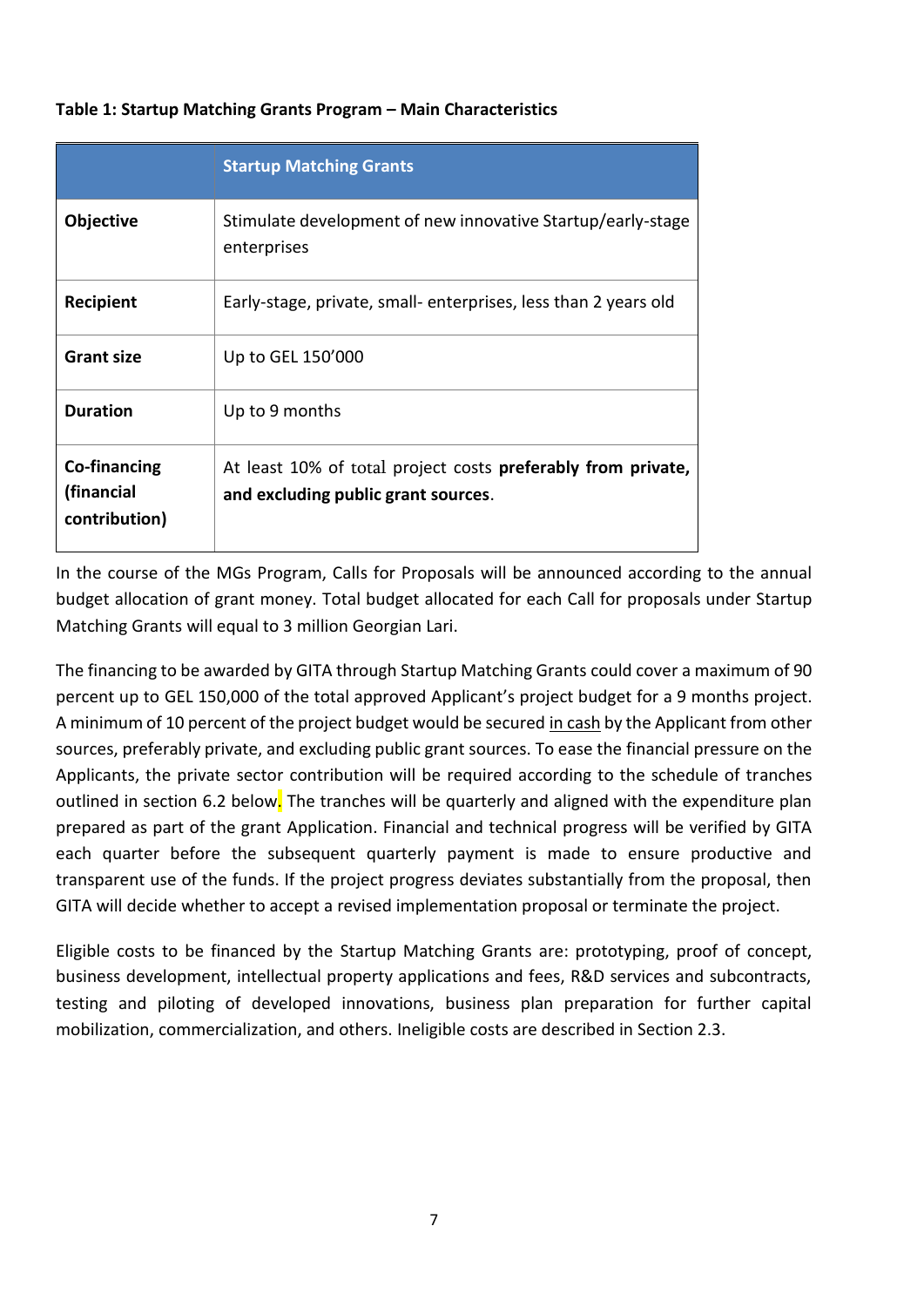|                                             | <b>Startup Matching Grants</b>                                                                      |
|---------------------------------------------|-----------------------------------------------------------------------------------------------------|
| <b>Objective</b>                            | Stimulate development of new innovative Startup/early-stage<br>enterprises                          |
| <b>Recipient</b>                            | Early-stage, private, small- enterprises, less than 2 years old                                     |
| <b>Grant size</b>                           | Up to GEL 150'000                                                                                   |
| <b>Duration</b>                             | Up to 9 months                                                                                      |
| Co-financing<br>(financial<br>contribution) | At least 10% of total project costs preferably from private,<br>and excluding public grant sources. |

#### **Table 1: Startup Matching Grants Program – Main Characteristics**

In the course of the MGs Program, Calls for Proposals will be announced according to the annual budget allocation of grant money. Total budget allocated for each Call for proposals under Startup Matching Grants will equal to 3 million Georgian Lari.

The financing to be awarded by GITA through Startup Matching Grants could cover a maximum of 90 percent up to GEL 150,000 of the total approved Applicant's project budget for a 9 months project. A minimum of 10 percent of the project budget would be secured in cash by the Applicant from other sources, preferably private, and excluding public grant sources. To ease the financial pressure on the Applicants, the private sector contribution will be required according to the schedule of tranches outlined in section 6.2 below. The tranches will be quarterly and aligned with the expenditure plan prepared as part of the grant Application. Financial and technical progress will be verified by GITA each quarter before the subsequent quarterly payment is made to ensure productive and transparent use of the funds. If the project progress deviates substantially from the proposal, then GITA will decide whether to accept a revised implementation proposal or terminate the project.

Eligible costs to be financed by the Startup Matching Grants are: prototyping, proof of concept, business development, intellectual property applications and fees, R&D services and subcontracts, testing and piloting of developed innovations, business plan preparation for further capital mobilization, commercialization, and others. Ineligible costs are described in Section 2.3.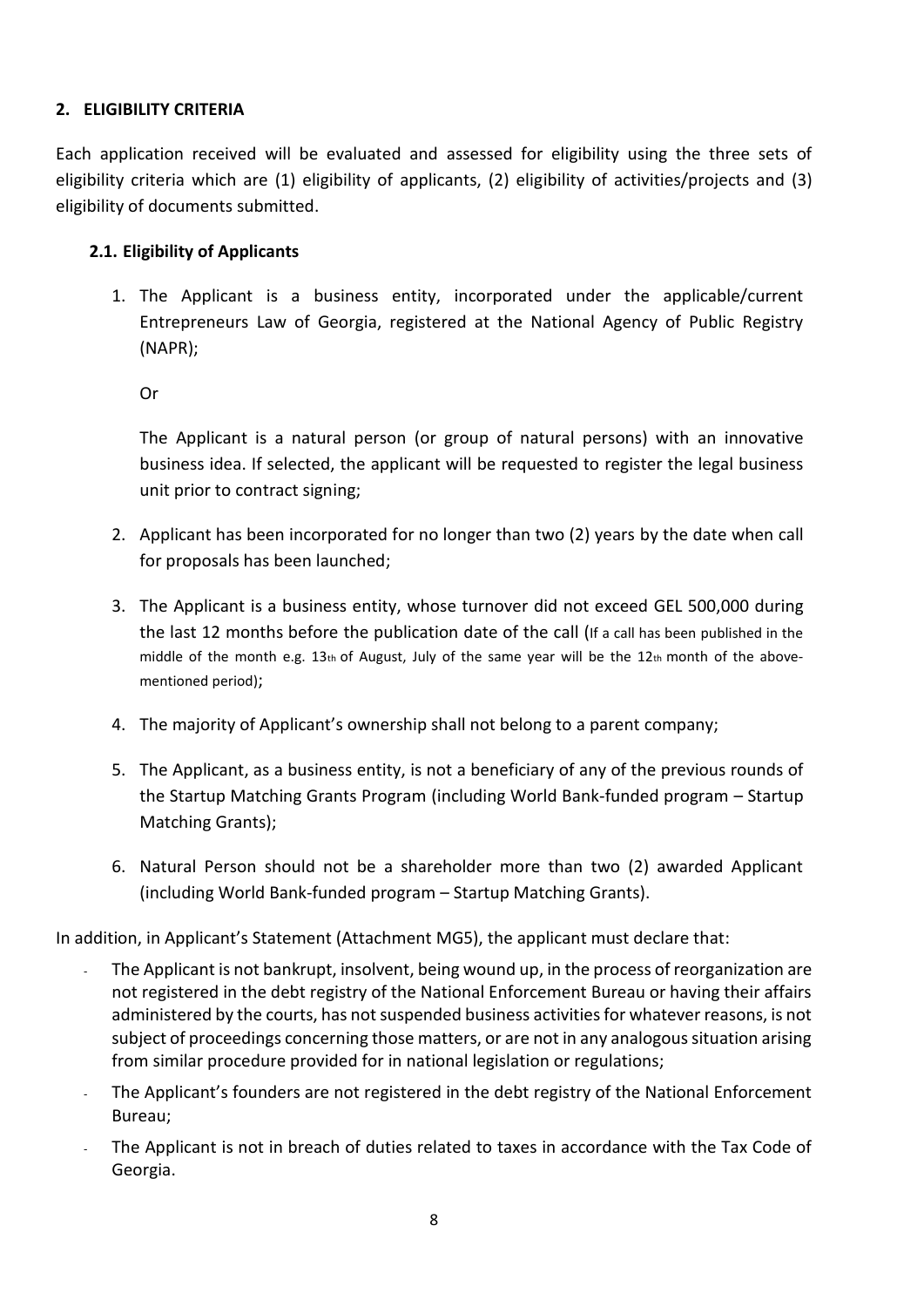#### <span id="page-7-0"></span>**2. ELIGIBILITY CRITERIA**

Each application received will be evaluated and assessed for eligibility using the three sets of eligibility criteria which are (1) eligibility of applicants, (2) eligibility of activities/projects and (3) eligibility of documents submitted.

#### <span id="page-7-1"></span>**2.1. Eligibility of Applicants**

1. The Applicant is a business entity, incorporated under the applicable/current Entrepreneurs Law of Georgia, registered at the National Agency of Public Registry (NAPR);

Or

The Applicant is a natural person (or group of natural persons) with an innovative business idea. If selected, the applicant will be requested to register the legal business unit prior to contract signing;

- 2. Applicant has been incorporated for no longer than two (2) years by the date when call for proposals has been launched;
- 3. The Applicant is a business entity, whose turnover did not exceed GEL 500,000 during the last 12 months before the publication date of the call (If a call has been published in the middle of the month e.g.  $13<sub>th</sub>$  of August, July of the same year will be the  $12<sub>th</sub>$  month of the abovementioned period);
- 4. The majority of Applicant's ownership shall not belong to a parent company;
- 5. The Applicant, as a business entity, is not a beneficiary of any of the previous rounds of the Startup Matching Grants Program (including World Bank-funded program – Startup Matching Grants);
- 6. Natural Person should not be a shareholder more than two (2) awarded Applicant (including World Bank-funded program – Startup Matching Grants).

In addition, in Applicant's Statement (Attachment MG5), the applicant must declare that:

- The Applicant is not bankrupt, insolvent, being wound up, in the process of reorganization are not registered in the debt registry of the National Enforcement Bureau or having their affairs administered by the courts, has not suspended business activities for whatever reasons, is not subject of proceedings concerning those matters, or are not in any analogous situation arising from similar procedure provided for in national legislation or regulations;
- The Applicant's founders are not registered in the debt registry of the National Enforcement Bureau;
- The Applicant is not in breach of duties related to taxes in accordance with the Tax Code of Georgia.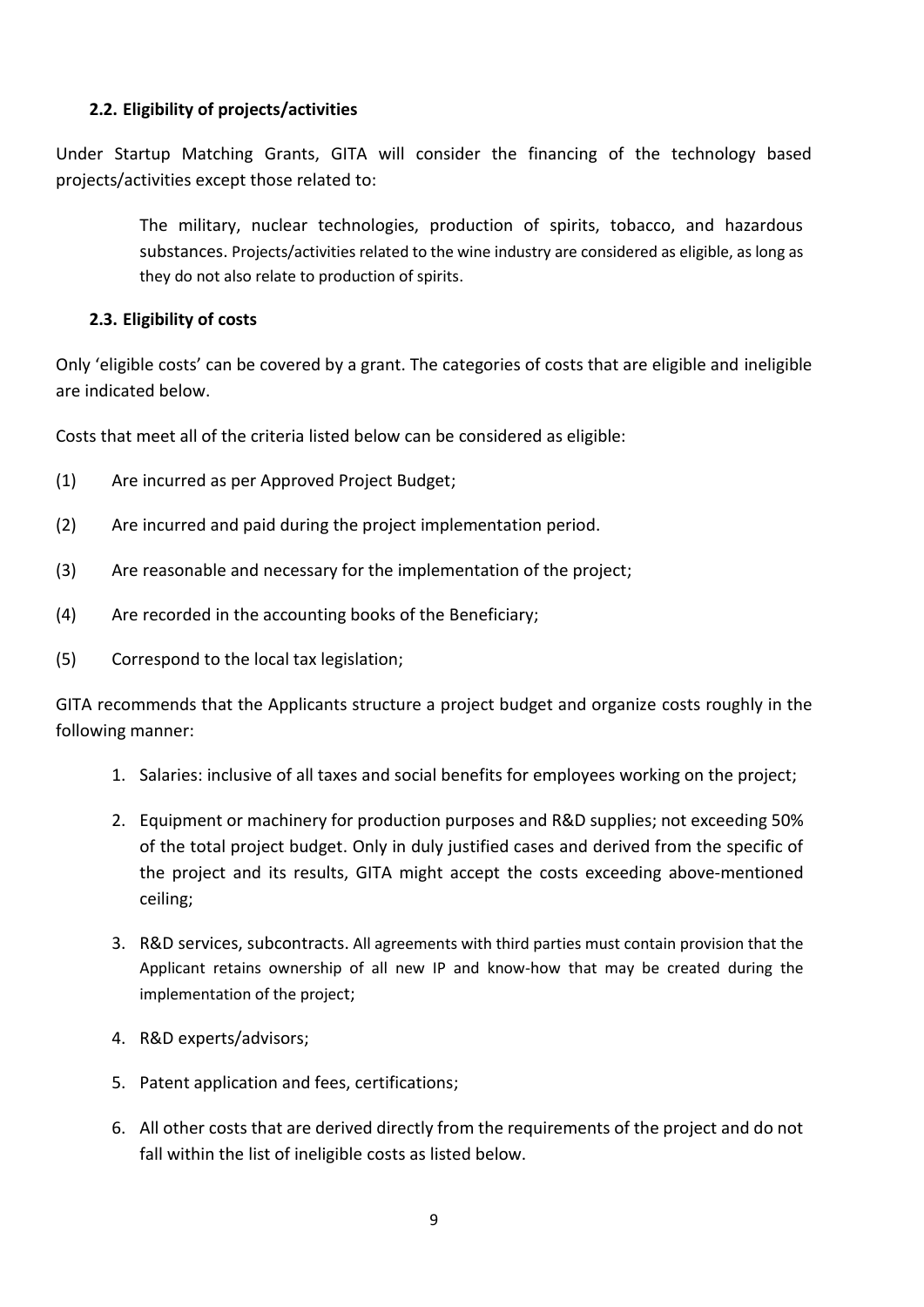#### <span id="page-8-0"></span>**2.2. Eligibility of projects/activities**

Under Startup Matching Grants, GITA will consider the financing of the technology based projects/activities except those related to:

> The military, nuclear technologies, production of spirits, tobacco, and hazardous substances. Projects/activities related to the wine industry are considered as eligible, as long as they do not also relate to production of spirits.

#### <span id="page-8-1"></span>**2.3. Eligibility of costs**

Only 'eligible costs' can be covered by a grant. The categories of costs that are eligible and ineligible are indicated below.

Costs that meet all of the criteria listed below can be considered as eligible:

- (1) Are incurred as per Approved Project Budget;
- (2) Are incurred and paid during the project implementation period.
- (3) Are reasonable and necessary for the implementation of the project;
- (4) Are recorded in the accounting books of the Beneficiary;
- (5) Correspond to the local tax legislation;

GITA recommends that the Applicants structure a project budget and organize costs roughly in the following manner:

- 1. Salaries: inclusive of all taxes and social benefits for employees working on the project;
- 2. Equipment or machinery for production purposes and R&D supplies; not exceeding 50% of the total project budget. Only in duly justified cases and derived from the specific of the project and its results, GITA might accept the costs exceeding above-mentioned ceiling;
- 3. R&D services, subcontracts. All agreements with third parties must contain provision that the Applicant retains ownership of all new IP and know-how that may be created during the implementation of the project;
- 4. R&D experts/advisors;
- 5. Patent application and fees, certifications;
- 6. All other costs that are derived directly from the requirements of the project and do not fall within the list of ineligible costs as listed below.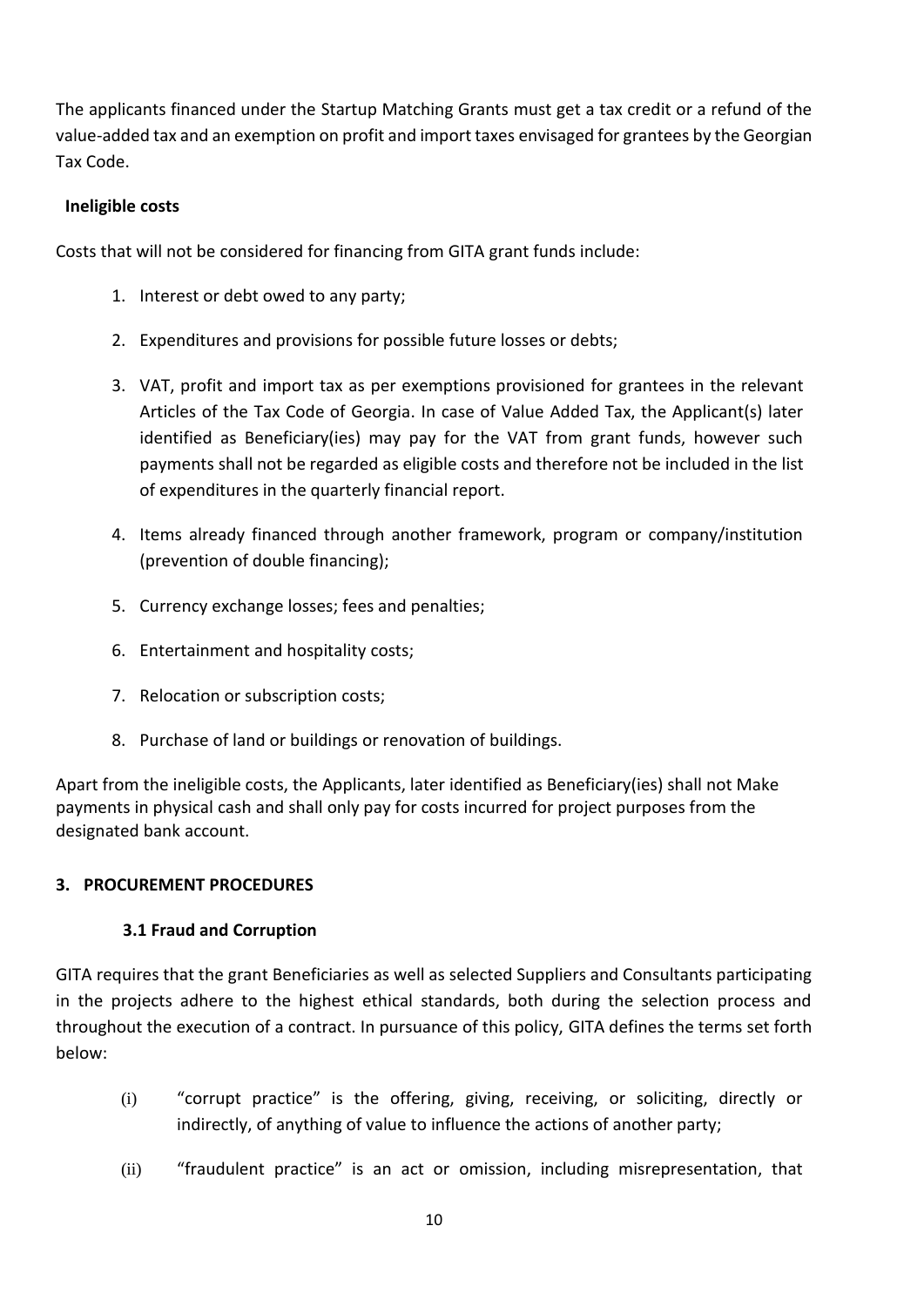The applicants financed under the Startup Matching Grants must get a tax credit or a refund of the value-added tax and an exemption on profit and import taxes envisaged for grantees by the Georgian Tax Code.

#### **Ineligible costs**

Costs that will not be considered for financing from GITA grant funds include:

- 1. Interest or debt owed to any party;
- 2. Expenditures and provisions for possible future losses or debts;
- 3. VAT, profit and import tax as per exemptions provisioned for grantees in the relevant Articles of the Tax Code of Georgia. In case of Value Added Tax, the Applicant(s) later identified as Beneficiary(ies) may pay for the VAT from grant funds, however such payments shall not be regarded as eligible costs and therefore not be included in the list of expenditures in the quarterly financial report.
- 4. Items already financed through another framework, program or company/institution (prevention of double financing);
- 5. Currency exchange losses; fees and penalties;
- 6. Entertainment and hospitality costs;
- 7. Relocation or subscription costs;
- 8. Purchase of land or buildings or renovation of buildings.

Apart from the ineligible costs, the Applicants, later identified as Beneficiary(ies) shall not Make payments in physical cash and shall only pay for costs incurred for project purposes from the designated bank account.

#### <span id="page-9-1"></span><span id="page-9-0"></span>**3. PROCUREMENT PROCEDURES**

#### **3.1 Fraud and Corruption**

GITA requires that the grant Beneficiaries as well as selected Suppliers and Consultants participating in the projects adhere to the highest ethical standards, both during the selection process and throughout the execution of a contract. In pursuance of this policy, GITA defines the terms set forth below:

- (i) "corrupt practice" is the offering, giving, receiving, or soliciting, directly or indirectly, of anything of value to influence the actions of another party;
- (ii) "fraudulent practice" is an act or omission, including misrepresentation, that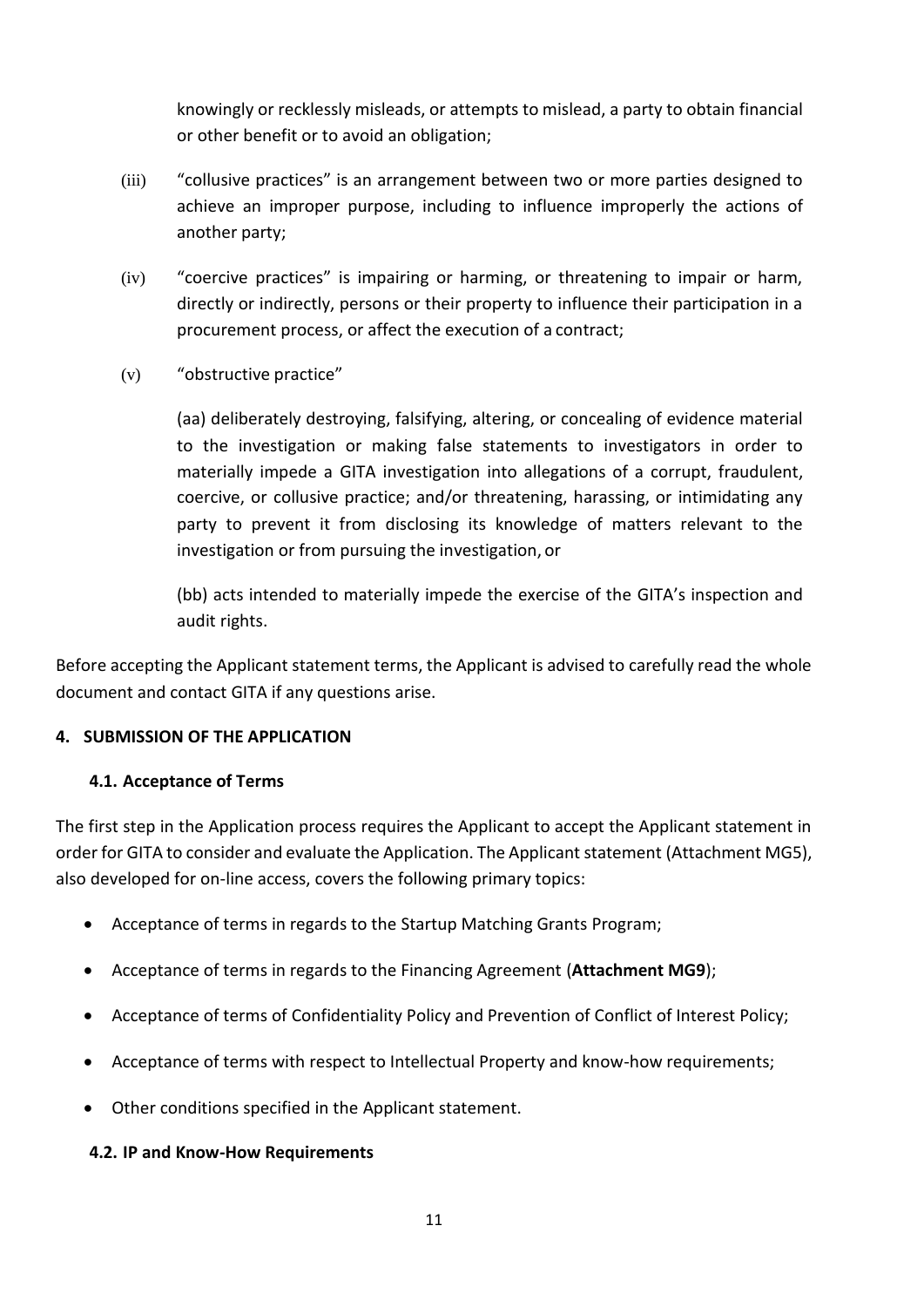knowingly or recklessly misleads, or attempts to mislead, a party to obtain financial or other benefit or to avoid an obligation;

- (iii) "collusive practices" is an arrangement between two or more parties designed to achieve an improper purpose, including to influence improperly the actions of another party;
- (iv) "coercive practices" is impairing or harming, or threatening to impair or harm, directly or indirectly, persons or their property to influence their participation in a procurement process, or affect the execution of a contract;
- (v) "obstructive practice"

(aa) deliberately destroying, falsifying, altering, or concealing of evidence material to the investigation or making false statements to investigators in order to materially impede a GITA investigation into allegations of a corrupt, fraudulent, coercive, or collusive practice; and/or threatening, harassing, or intimidating any party to prevent it from disclosing its knowledge of matters relevant to the investigation or from pursuing the investigation, or

(bb) acts intended to materially impede the exercise of the GITA's inspection and audit rights.

Before accepting the Applicant statement terms, the Applicant is advised to carefully read the whole document and contact GITA if any questions arise.

#### <span id="page-10-0"></span>**4. SUBMISSION OF THE APPLICATION**

#### <span id="page-10-1"></span>**4.1. Acceptance of Terms**

The first step in the Application process requires the Applicant to accept the Applicant statement in order for GITA to consider and evaluate the Application. The Applicant statement (Attachment MG5), also developed for on-line access, covers the following primary topics:

- Acceptance of terms in regards to the Startup Matching Grants Program;
- Acceptance of terms in regards to the Financing Agreement (**Attachment MG9**);
- Acceptance of terms of Confidentiality Policy and Prevention of Conflict of Interest Policy;
- Acceptance of terms with respect to Intellectual Property and know-how requirements;
- Other conditions specified in the Applicant statement.

#### <span id="page-10-2"></span>**4.2. IP and Know-How Requirements**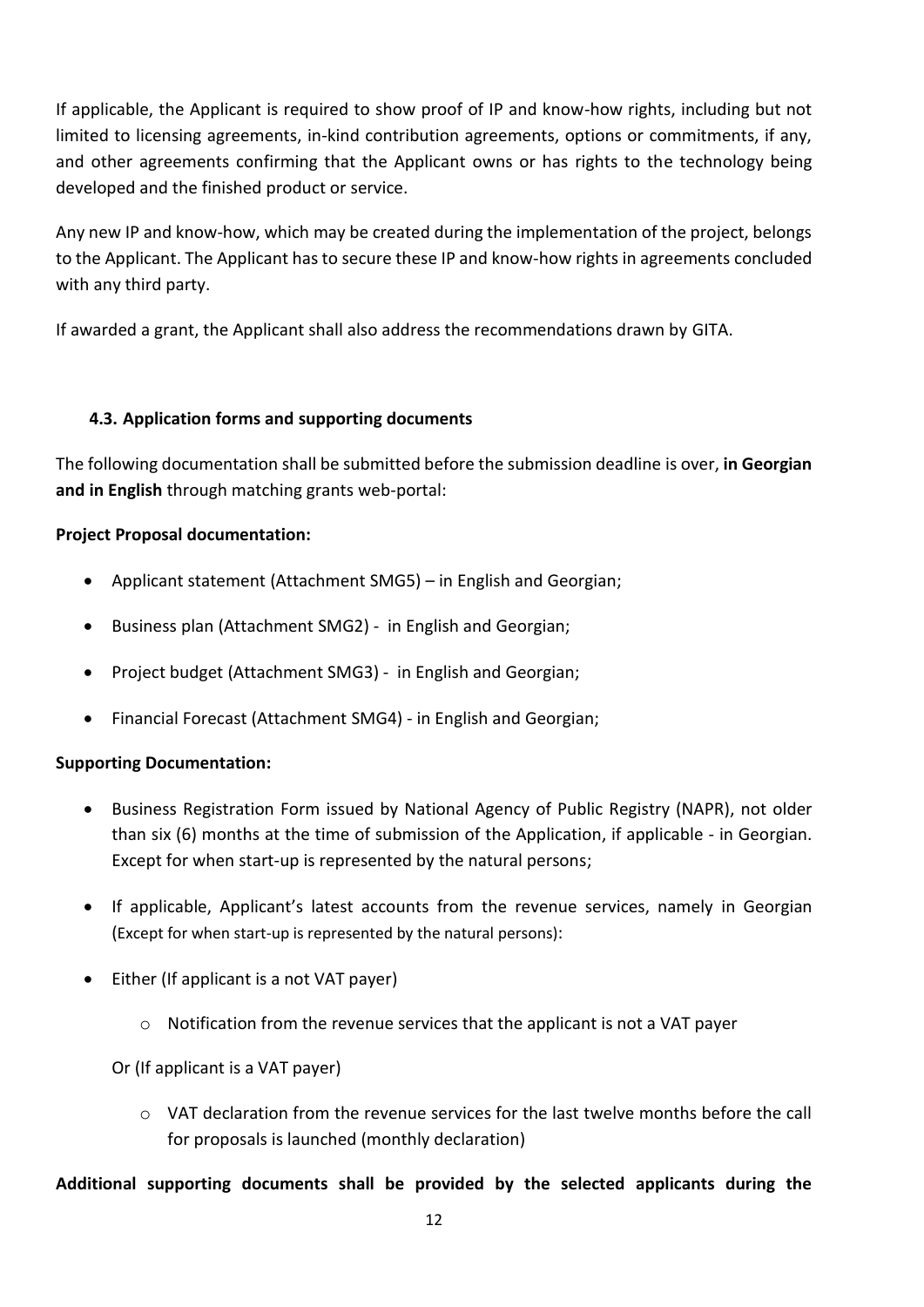If applicable, the Applicant is required to show proof of IP and know-how rights, including but not limited to licensing agreements, in-kind contribution agreements, options or commitments, if any, and other agreements confirming that the Applicant owns or has rights to the technology being developed and the finished product or service.

Any new IP and know-how, which may be created during the implementation of the project, belongs to the Applicant. The Applicant has to secure these IP and know-how rights in agreements concluded with any third party.

If awarded a grant, the Applicant shall also address the recommendations drawn by GITA.

#### <span id="page-11-0"></span>**4.3. Application forms and supporting documents**

The following documentation shall be submitted before the submission deadline is over, **in Georgian and in English** through matching grants web-portal:

#### **Project Proposal documentation:**

- Applicant statement (Attachment SMG5) in English and Georgian;
- Business plan (Attachment SMG2) in English and Georgian;
- Project budget (Attachment SMG3) in English and Georgian;
- Financial Forecast (Attachment SMG4) in English and Georgian;

## **Supporting Documentation:**

- Business Registration Form issued by National Agency of Public Registry (NAPR), not older than six (6) months at the time of submission of the Application, if applicable - in Georgian. Except for when start-up is represented by the natural persons;
- If applicable, Applicant's latest accounts from the revenue services, namely in Georgian (Except for when start-up is represented by the natural persons):
- Either (If applicant is a not VAT payer)
	- $\circ$  Notification from the revenue services that the applicant is not a VAT payer

Or (If applicant is a VAT payer)

 $\circ$  VAT declaration from the revenue services for the last twelve months before the call for proposals is launched (monthly declaration)

**Additional supporting documents shall be provided by the selected applicants during the**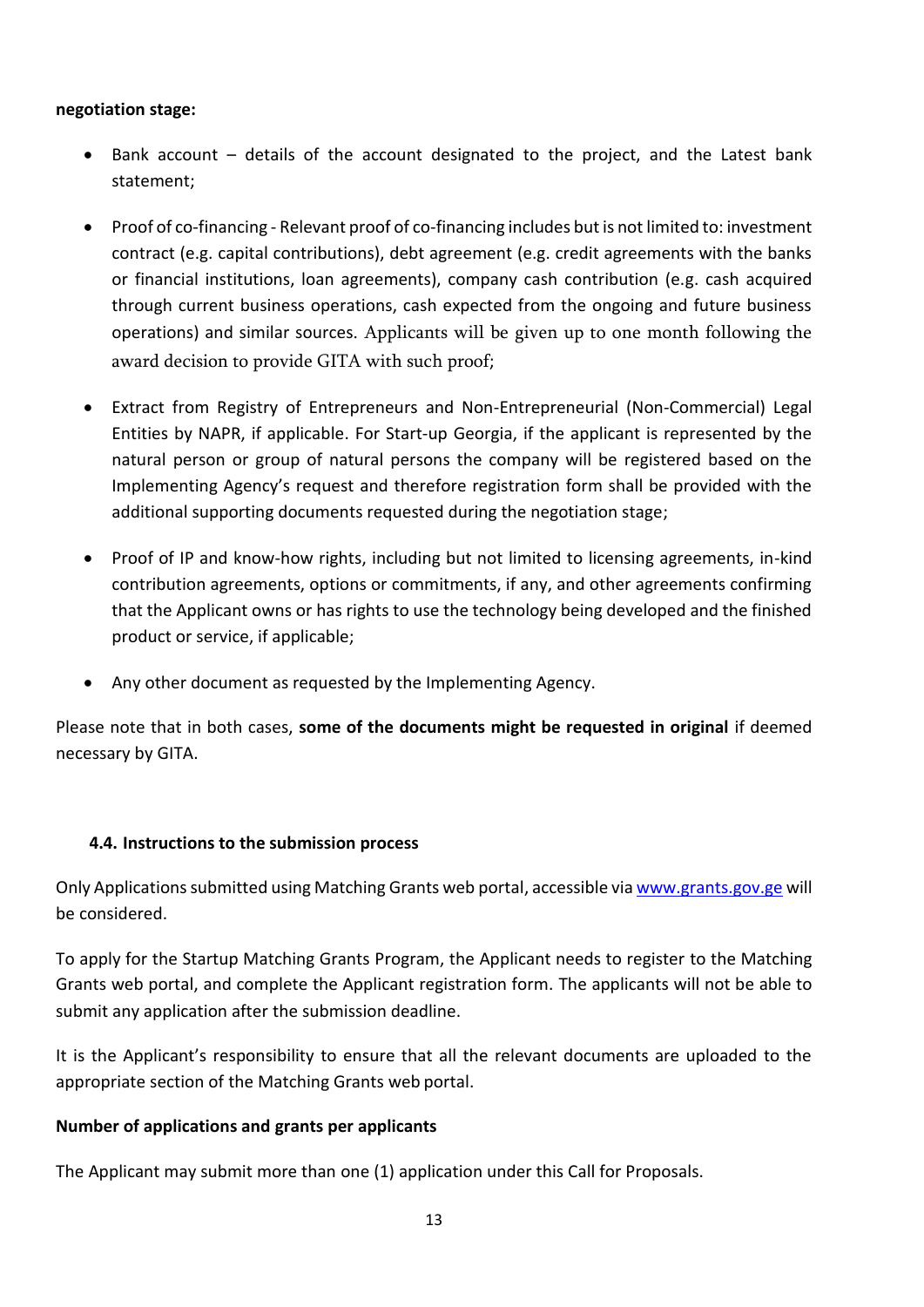#### **negotiation stage:**

- Bank account details of the account designated to the project, and the Latest bank statement;
- Proof of co-financing Relevant proof of co-financing includes but is not limited to: investment contract (e.g. capital contributions), debt agreement (e.g. credit agreements with the banks or financial institutions, loan agreements), company cash contribution (e.g. cash acquired through current business operations, cash expected from the ongoing and future business operations) and similar sources. Applicants will be given up to one month following the award decision to provide GITA with such proof;
- Extract from Registry of Entrepreneurs and Non-Entrepreneurial (Non-Commercial) Legal Entities by NAPR, if applicable. For Start-up Georgia, if the applicant is represented by the natural person or group of natural persons the company will be registered based on the Implementing Agency's request and therefore registration form shall be provided with the additional supporting documents requested during the negotiation stage;
- Proof of IP and know-how rights, including but not limited to licensing agreements, in-kind contribution agreements, options or commitments, if any, and other agreements confirming that the Applicant owns or has rights to use the technology being developed and the finished product or service, if applicable;
- Any other document as requested by the Implementing Agency.

Please note that in both cases, **some of the documents might be requested in original** if deemed necessary by GITA.

#### <span id="page-12-0"></span>**4.4. Instructions to the submission process**

Only Applications submitted using Matching Grants web portal, accessible via [www.grants.gov.ge](http://www.grants.gov.ge/) will be considered.

To apply for the Startup Matching Grants Program, the Applicant needs to register to the Matching Grants web portal, and complete the Applicant registration form. The applicants will not be able to submit any application after the submission deadline.

It is the Applicant's responsibility to ensure that all the relevant documents are uploaded to the appropriate section of the Matching Grants web portal.

#### **Number of applications and grants per applicants**

The Applicant may submit more than one (1) application under this Call for Proposals.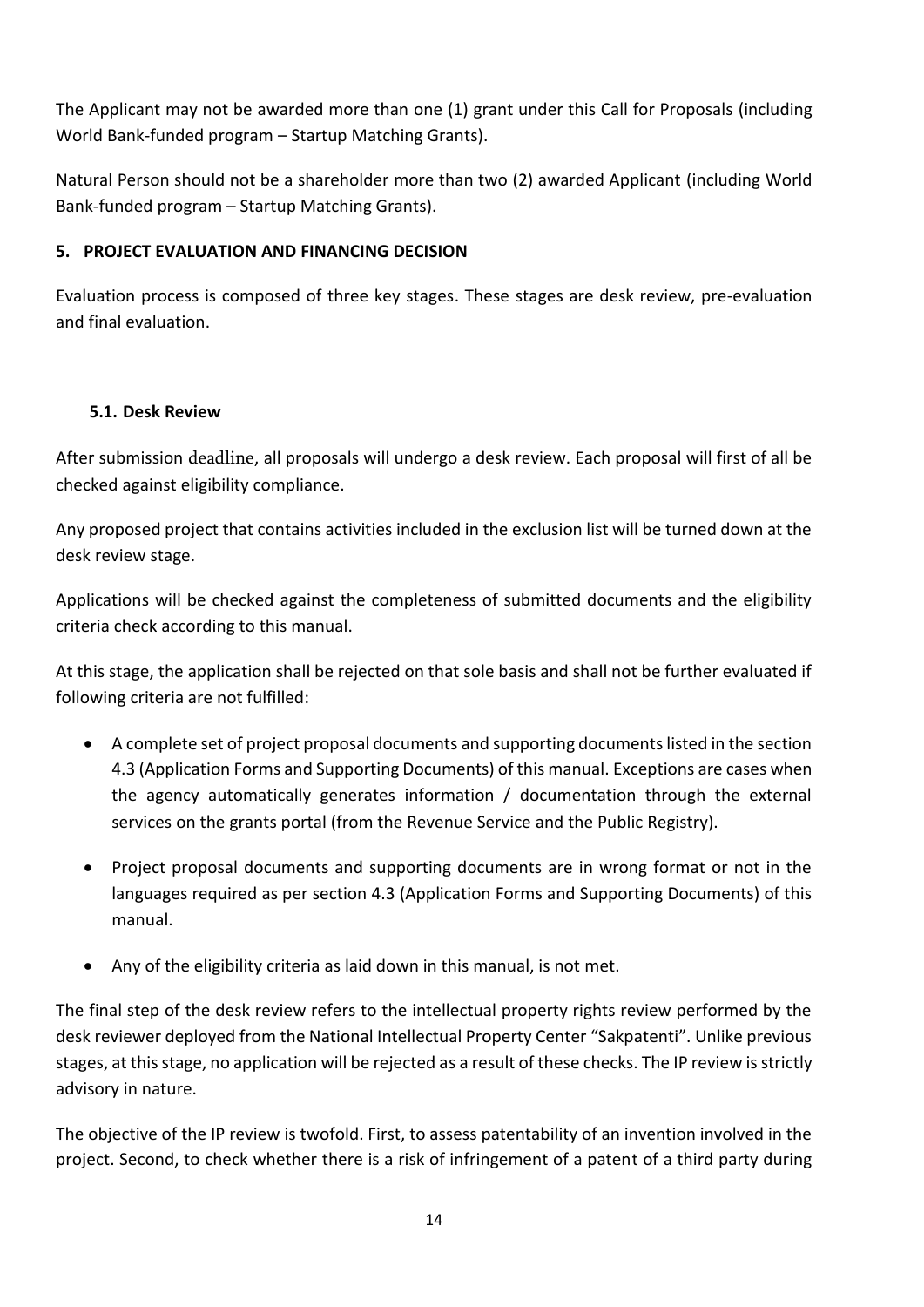The Applicant may not be awarded more than one (1) grant under this Call for Proposals (including World Bank-funded program – Startup Matching Grants).

Natural Person should not be a shareholder more than two (2) awarded Applicant (including World Bank-funded program – Startup Matching Grants).

## <span id="page-13-0"></span>**5. PROJECT EVALUATION AND FINANCING DECISION**

Evaluation process is composed of three key stages. These stages are desk review, pre-evaluation and final evaluation.

## <span id="page-13-1"></span>**5.1. Desk Review**

After submission deadline, all proposals will undergo a desk review. Each proposal will first of all be checked against eligibility compliance.

Any proposed project that contains activities included in the exclusion list will be turned down at the desk review stage.

Applications will be checked against the completeness of submitted documents and the eligibility criteria check according to this manual.

At this stage, the application shall be rejected on that sole basis and shall not be further evaluated if following criteria are not fulfilled:

- A complete set of project proposal documents and supporting documents listed in the section 4.3 (Application Forms and Supporting Documents) of this manual. Exceptions are cases when the agency automatically generates information / documentation through the external services on the grants portal (from the Revenue Service and the Public Registry).
- Project proposal documents and supporting documents are in wrong format or not in the languages required as per section 4.3 (Application Forms and Supporting Documents) of this manual.
- Any of the eligibility criteria as laid down in this manual, is not met.

The final step of the desk review refers to the intellectual property rights review performed by the desk reviewer deployed from the National Intellectual Property Center "Sakpatenti". Unlike previous stages, at this stage, no application will be rejected as a result of these checks. The IP review is strictly advisory in nature.

The objective of the IP review is twofold. First, to assess patentability of an invention involved in the project. Second, to check whether there is a risk of infringement of a patent of a third party during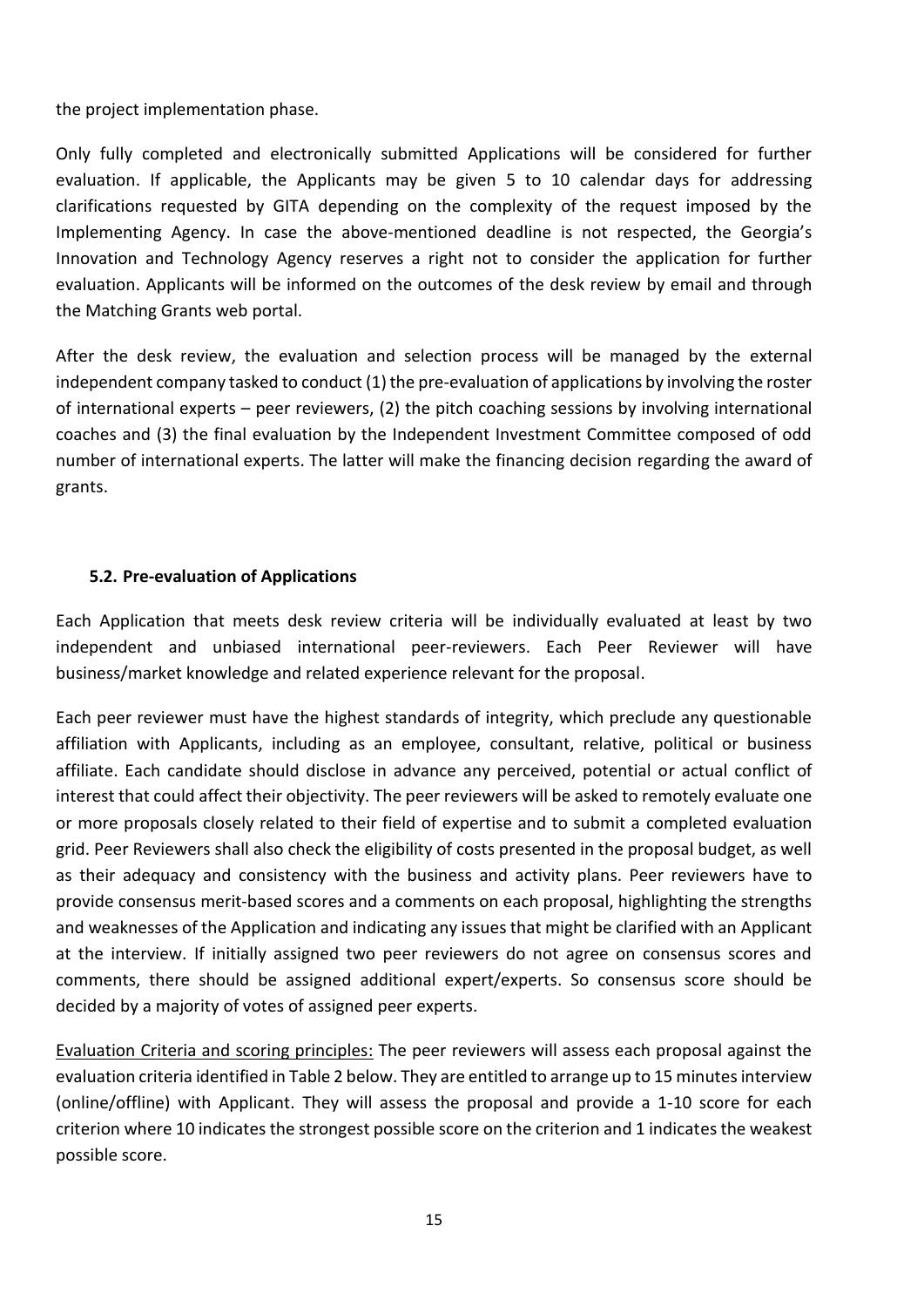the project implementation phase.

Only fully completed and electronically submitted Applications will be considered for further evaluation. If applicable, the Applicants may be given 5 to 10 calendar days for addressing clarifications requested by GITA depending on the complexity of the request imposed by the Implementing Agency. In case the above-mentioned deadline is not respected, the Georgia's Innovation and Technology Agency reserves a right not to consider the application for further evaluation. Applicants will be informed on the outcomes of the desk review by email and through the Matching Grants web portal.

After the desk review, the evaluation and selection process will be managed by the external independent company tasked to conduct (1) the pre-evaluation of applications by involving the roster of international experts – peer reviewers, (2) the pitch coaching sessions by involving international coaches and (3) the final evaluation by the Independent Investment Committee composed of odd number of international experts. The latter will make the financing decision regarding the award of grants.

#### <span id="page-14-0"></span>**5.2. Pre-evaluation of Applications**

Each Application that meets desk review criteria will be individually evaluated at least by two independent and unbiased international peer-reviewers. Each Peer Reviewer will have business/market knowledge and related experience relevant for the proposal.

Each peer reviewer must have the highest standards of integrity, which preclude any questionable affiliation with Applicants, including as an employee, consultant, relative, political or business affiliate. Each candidate should disclose in advance any perceived, potential or actual conflict of interest that could affect their objectivity. The peer reviewers will be asked to remotely evaluate one or more proposals closely related to their field of expertise and to submit a completed evaluation grid. Peer Reviewers shall also check the eligibility of costs presented in the proposal budget, as well as their adequacy and consistency with the business and activity plans. Peer reviewers have to provide consensus merit-based scores and a comments on each proposal, highlighting the strengths and weaknesses of the Application and indicating any issues that might be clarified with an Applicant at the interview. If initially assigned two peer reviewers do not agree on consensus scores and comments, there should be assigned additional expert/experts. So consensus score should be decided by a majority of votes of assigned peer experts.

Evaluation Criteria and scoring principles: The peer reviewers will assess each proposal against the evaluation criteria identified in Table 2 below. They are entitled to arrange up to 15 minutes interview (online/offline) with Applicant. They will assess the proposal and provide a 1-10 score for each criterion where 10 indicates the strongest possible score on the criterion and 1 indicates the weakest possible score.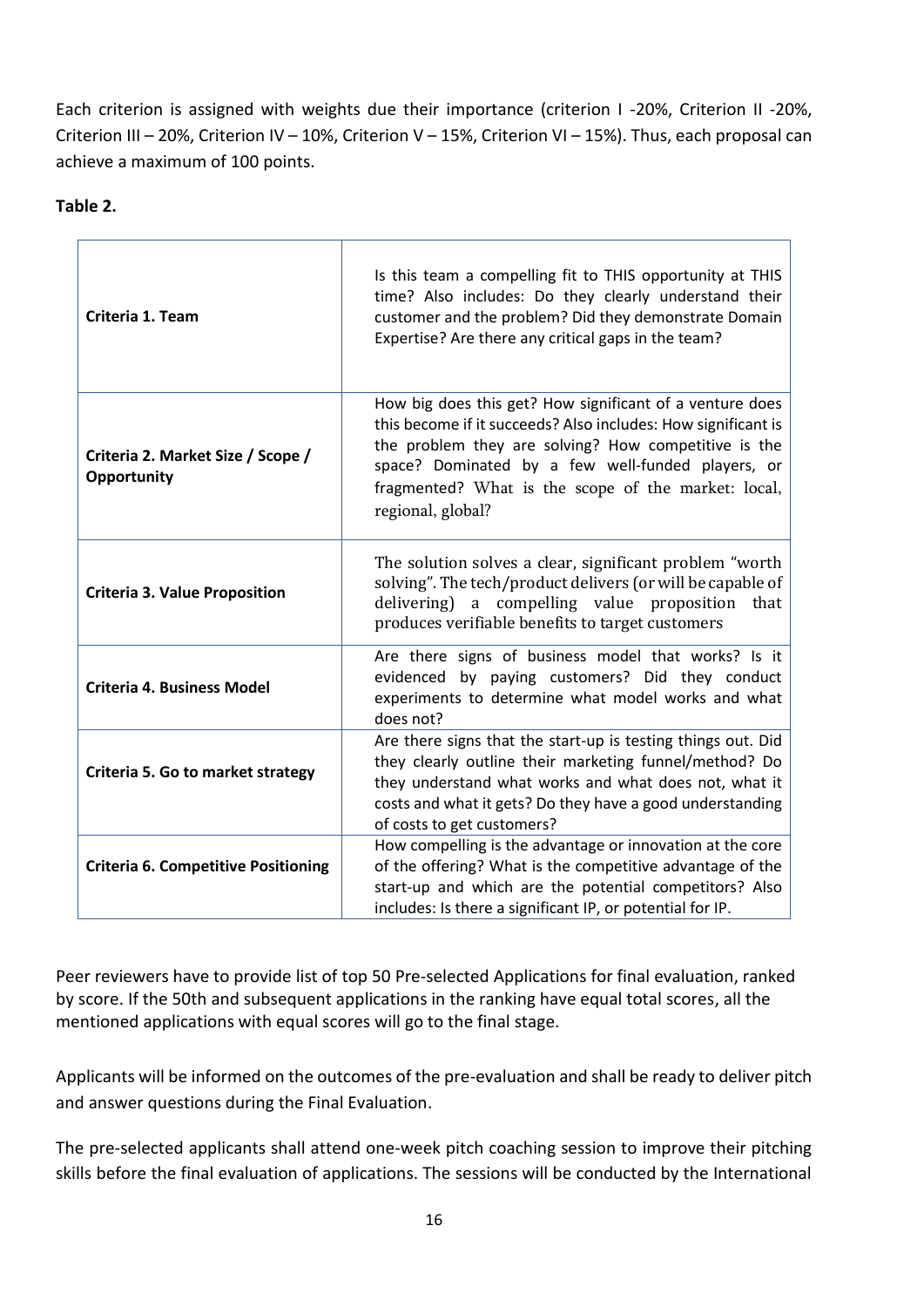Each criterion is assigned with weights due their importance (criterion I -20%, Criterion II -20%, Criterion III – 20%, Criterion IV – 10%, Criterion V – 15%, Criterion VI – 15%). Thus, each proposal can achieve a maximum of 100 points.

#### **Table 2.**

| Criteria 1. Team                                 | Is this team a compelling fit to THIS opportunity at THIS<br>time? Also includes: Do they clearly understand their<br>customer and the problem? Did they demonstrate Domain<br>Expertise? Are there any critical gaps in the team?                                                                                 |  |
|--------------------------------------------------|--------------------------------------------------------------------------------------------------------------------------------------------------------------------------------------------------------------------------------------------------------------------------------------------------------------------|--|
| Criteria 2. Market Size / Scope /<br>Opportunity | How big does this get? How significant of a venture does<br>this become if it succeeds? Also includes: How significant is<br>the problem they are solving? How competitive is the<br>space? Dominated by a few well-funded players, or<br>fragmented? What is the scope of the market: local,<br>regional, global? |  |
| <b>Criteria 3. Value Proposition</b>             | The solution solves a clear, significant problem "worth<br>solving". The tech/product delivers (or will be capable of<br>delivering) a compelling value proposition that<br>produces verifiable benefits to target customers                                                                                       |  |
| <b>Criteria 4. Business Model</b>                | Are there signs of business model that works? Is it<br>evidenced by paying customers? Did they conduct<br>experiments to determine what model works and what<br>does not?                                                                                                                                          |  |
| Criteria 5. Go to market strategy                | Are there signs that the start-up is testing things out. Did<br>they clearly outline their marketing funnel/method? Do<br>they understand what works and what does not, what it<br>costs and what it gets? Do they have a good understanding<br>of costs to get customers?                                         |  |
| <b>Criteria 6. Competitive Positioning</b>       | How compelling is the advantage or innovation at the core<br>of the offering? What is the competitive advantage of the<br>start-up and which are the potential competitors? Also<br>includes: Is there a significant IP, or potential for IP.                                                                      |  |

Peer reviewers have to provide list of top 50 Pre-selected Applications for final evaluation, ranked by score. If the 50th and subsequent applications in the ranking have equal total scores, all the mentioned applications with equal scores will go to the final stage.

Applicants will be informed on the outcomes of the pre-evaluation and shall be ready to deliver pitch and answer questions during the Final Evaluation.

The pre-selected applicants shall attend one-week pitch coaching session to improve their pitching skills before the final evaluation of applications. The sessions will be conducted by the International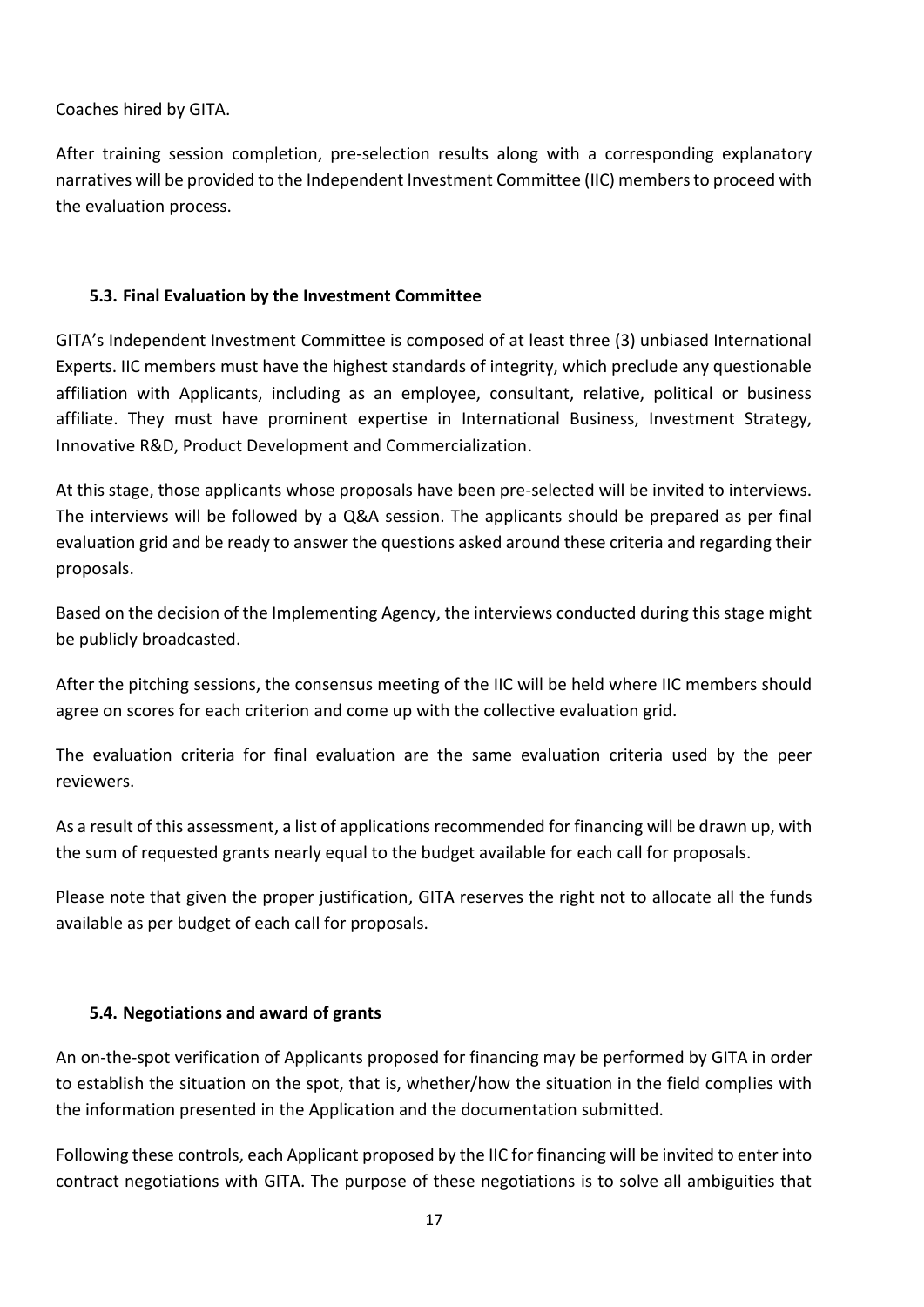Coaches hired by GITA.

After training session completion, pre-selection results along with a corresponding explanatory narratives will be provided to the Independent Investment Committee (IIC) members to proceed with the evaluation process.

#### <span id="page-16-0"></span>**5.3. Final Evaluation by the Investment Committee**

GITA's Independent Investment Committee is composed of at least three (3) unbiased International Experts. IIC members must have the highest standards of integrity, which preclude any questionable affiliation with Applicants, including as an employee, consultant, relative, political or business affiliate. They must have prominent expertise in International Business, Investment Strategy, Innovative R&D, Product Development and Commercialization.

At this stage, those applicants whose proposals have been pre-selected will be invited to interviews. The interviews will be followed by a Q&A session. The applicants should be prepared as per final evaluation grid and be ready to answer the questions asked around these criteria and regarding their proposals.

Based on the decision of the Implementing Agency, the interviews conducted during this stage might be publicly broadcasted.

After the pitching sessions, the consensus meeting of the IIC will be held where IIC members should agree on scores for each criterion and come up with the collective evaluation grid.

The evaluation criteria for final evaluation are the same evaluation criteria used by the peer reviewers.

As a result of this assessment, a list of applications recommended for financing will be drawn up, with the sum of requested grants nearly equal to the budget available for each call for proposals.

Please note that given the proper justification, GITA reserves the right not to allocate all the funds available as per budget of each call for proposals.

#### <span id="page-16-1"></span>**5.4. Negotiations and award of grants**

An on-the-spot verification of Applicants proposed for financing may be performed by GITA in order to establish the situation on the spot, that is, whether/how the situation in the field complies with the information presented in the Application and the documentation submitted.

Following these controls, each Applicant proposed by the IIC for financing will be invited to enter into contract negotiations with GITA. The purpose of these negotiations is to solve all ambiguities that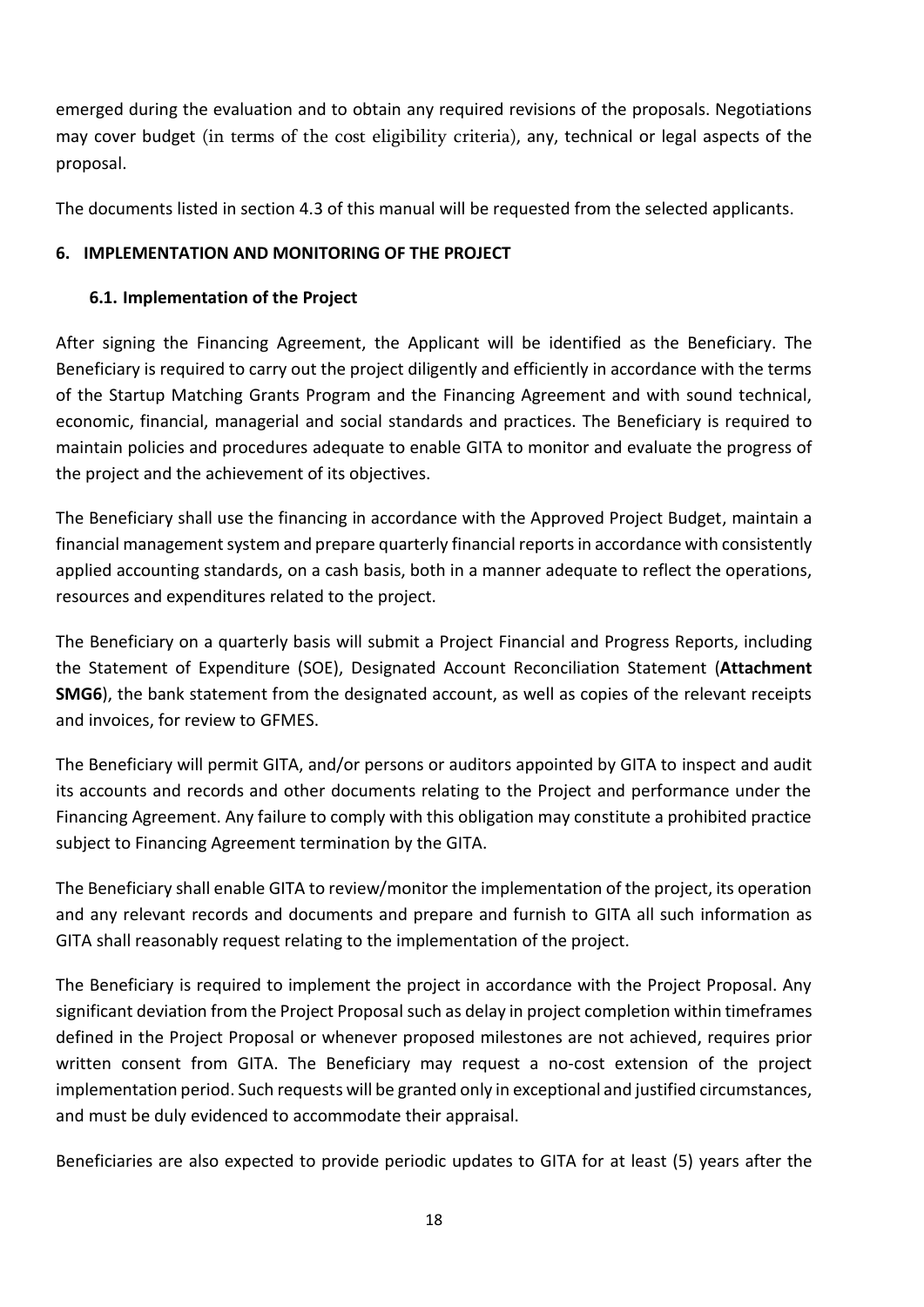emerged during the evaluation and to obtain any required revisions of the proposals. Negotiations may cover budget (in terms of the cost eligibility criteria), any, technical or legal aspects of the proposal.

The documents listed in section 4.3 of this manual will be requested from the selected applicants.

## <span id="page-17-0"></span>**6. IMPLEMENTATION AND MONITORING OF THE PROJECT**

## <span id="page-17-1"></span>**6.1. Implementation of the Project**

After signing the Financing Agreement, the Applicant will be identified as the Beneficiary. The Beneficiary is required to carry out the project diligently and efficiently in accordance with the terms of the Startup Matching Grants Program and the Financing Agreement and with sound technical, economic, financial, managerial and social standards and practices. The Beneficiary is required to maintain policies and procedures adequate to enable GITA to monitor and evaluate the progress of the project and the achievement of its objectives.

The Beneficiary shall use the financing in accordance with the Approved Project Budget, maintain a financial management system and prepare quarterly financial reports in accordance with consistently applied accounting standards, on a cash basis, both in a manner adequate to reflect the operations, resources and expenditures related to the project.

The Beneficiary on a quarterly basis will submit a Project Financial and Progress Reports, including the Statement of Expenditure (SOE), Designated Account Reconciliation Statement (**Attachment SMG6**), the bank statement from the designated account, as well as copies of the relevant receipts and invoices, for review to GFMES.

The Beneficiary will permit GITA, and/or persons or auditors appointed by GITA to inspect and audit its accounts and records and other documents relating to the Project and performance under the Financing Agreement. Any failure to comply with this obligation may constitute a prohibited practice subject to Financing Agreement termination by the GITA.

The Beneficiary shall enable GITA to review/monitor the implementation of the project, its operation and any relevant records and documents and prepare and furnish to GITA all such information as GITA shall reasonably request relating to the implementation of the project.

The Beneficiary is required to implement the project in accordance with the Project Proposal. Any significant deviation from the Project Proposal such as delay in project completion within timeframes defined in the Project Proposal or whenever proposed milestones are not achieved, requires prior written consent from GITA. The Beneficiary may request a no-cost extension of the project implementation period. Such requests will be granted only in exceptional and justified circumstances, and must be duly evidenced to accommodate their appraisal.

Beneficiaries are also expected to provide periodic updates to GITA for at least (5) years after the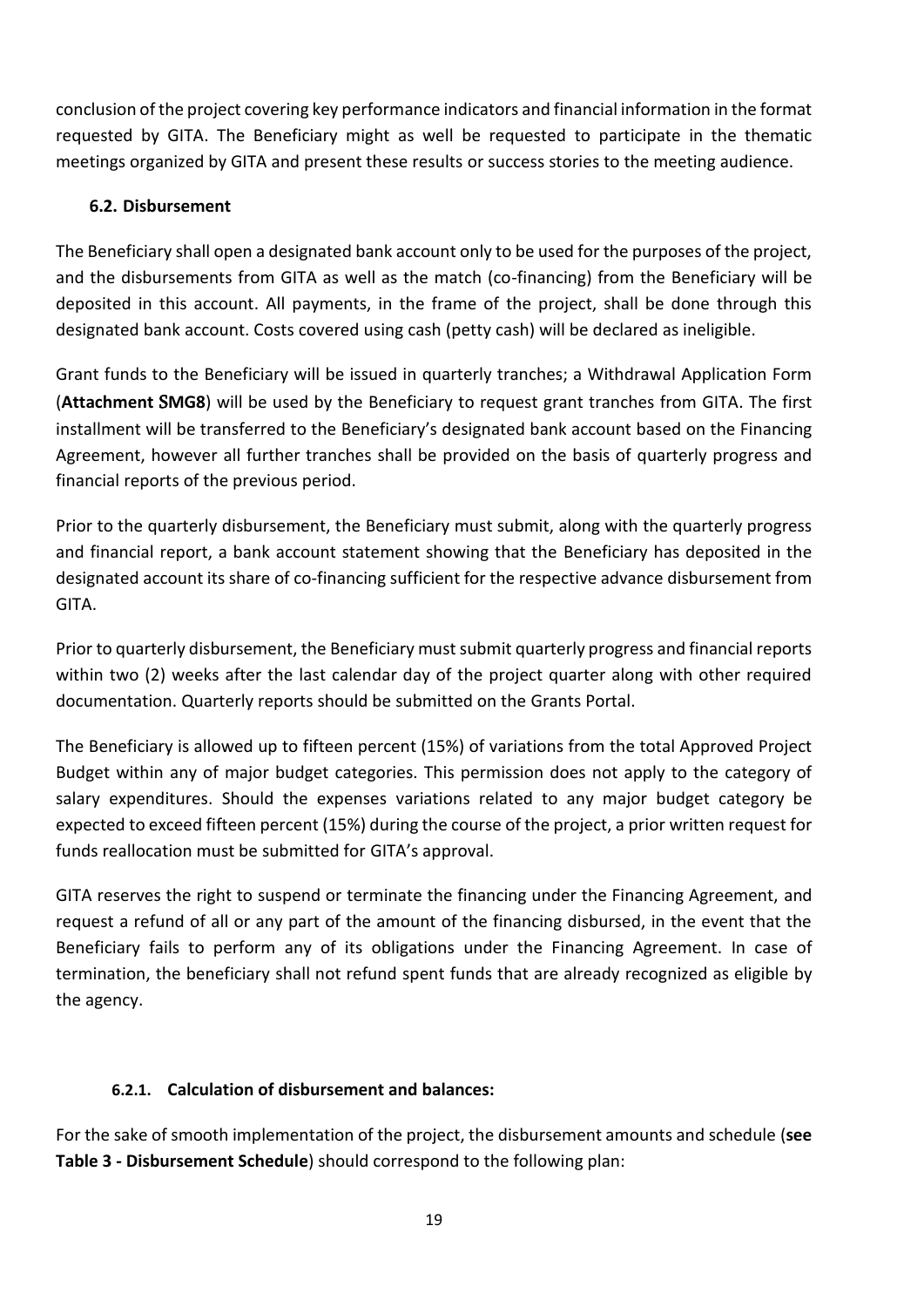conclusion of the project covering key performance indicators and financial information in the format requested by GITA. The Beneficiary might as well be requested to participate in the thematic meetings organized by GITA and present these results or success stories to the meeting audience.

#### <span id="page-18-0"></span>**6.2. Disbursement**

The Beneficiary shall open a designated bank account only to be used for the purposes of the project, and the disbursements from GITA as well as the match (co-financing) from the Beneficiary will be deposited in this account. All payments, in the frame of the project, shall be done through this designated bank account. Costs covered using cash (petty cash) will be declared as ineligible.

Grant funds to the Beneficiary will be issued in quarterly tranches; a Withdrawal Application Form (**Attachment** S**MG8**) will be used by the Beneficiary to request grant tranches from GITA. The first installment will be transferred to the Beneficiary's designated bank account based on the Financing Agreement, however all further tranches shall be provided on the basis of quarterly progress and financial reports of the previous period.

Prior to the quarterly disbursement, the Beneficiary must submit, along with the quarterly progress and financial report, a bank account statement showing that the Beneficiary has deposited in the designated account its share of co-financing sufficient for the respective advance disbursement from GITA.

Prior to quarterly disbursement, the Beneficiary must submit quarterly progress and financial reports within two (2) weeks after the last calendar day of the project quarter along with other required documentation. Quarterly reports should be submitted on the Grants Portal.

The Beneficiary is allowed up to fifteen percent (15%) of variations from the total Approved Project Budget within any of major budget categories. This permission does not apply to the category of salary expenditures. Should the expenses variations related to any major budget category be expected to exceed fifteen percent (15%) during the course of the project, a prior written request for funds reallocation must be submitted for GITA's approval.

GITA reserves the right to suspend or terminate the financing under the Financing Agreement, and request a refund of all or any part of the amount of the financing disbursed, in the event that the Beneficiary fails to perform any of its obligations under the Financing Agreement. In case of termination, the beneficiary shall not refund spent funds that are already recognized as eligible by the agency.

## **6.2.1. Calculation of disbursement and balances:**

<span id="page-18-1"></span>For the sake of smooth implementation of the project, the disbursement amounts and schedule (**see Table 3 - Disbursement Schedule**) should correspond to the following plan: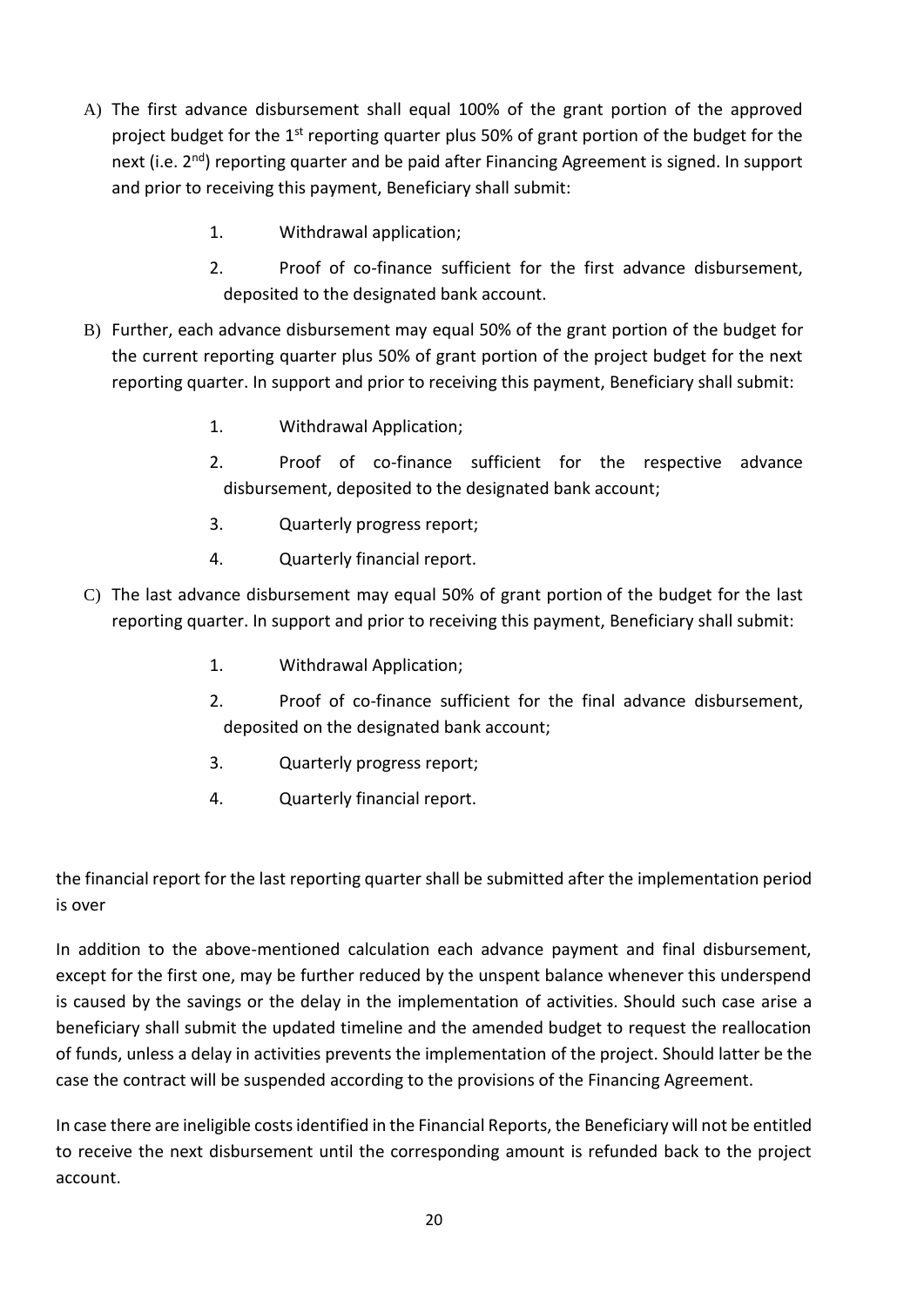- A) The first advance disbursement shall equal 100% of the grant portion of the approved project budget for the 1<sup>st</sup> reporting quarter plus 50% of grant portion of the budget for the next (i.e. 2<sup>nd</sup>) reporting quarter and be paid after Financing Agreement is signed. In support and prior to receiving this payment, Beneficiary shall submit:
	- 1. Withdrawal application;
	- 2. Proof of co-finance sufficient for the first advance disbursement, deposited to the designated bank account.
- B) Further, each advance disbursement may equal 50% of the grant portion of the budget for the current reporting quarter plus 50% of grant portion of the project budget for the next reporting quarter. In support and prior to receiving this payment, Beneficiary shall submit:
	- 1. Withdrawal Application;
	- 2. Proof of co-finance sufficient for the respective advance disbursement, deposited to the designated bank account;
	- 3. Quarterly progress report;
	- 4. Quarterly financial report.
- C) The last advance disbursement may equal 50% of grant portion of the budget for the last reporting quarter. In support and prior to receiving this payment, Beneficiary shall submit:
	- 1. Withdrawal Application;
	- 2. Proof of co-finance sufficient for the final advance disbursement, deposited on the designated bank account;
	- 3. Quarterly progress report;
	- 4. Quarterly financial report.

the financial report for the last reporting quarter shall be submitted after the implementation period is over

In addition to the above-mentioned calculation each advance payment and final disbursement, except for the first one, may be further reduced by the unspent balance whenever this underspend is caused by the savings or the delay in the implementation of activities. Should such case arise a beneficiary shall submit the updated timeline and the amended budget to request the reallocation of funds, unless a delay in activities prevents the implementation of the project. Should latter be the case the contract will be suspended according to the provisions of the Financing Agreement.

In case there are ineligible costs identified in the Financial Reports, the Beneficiary will not be entitled to receive the next disbursement until the corresponding amount is refunded back to the project account.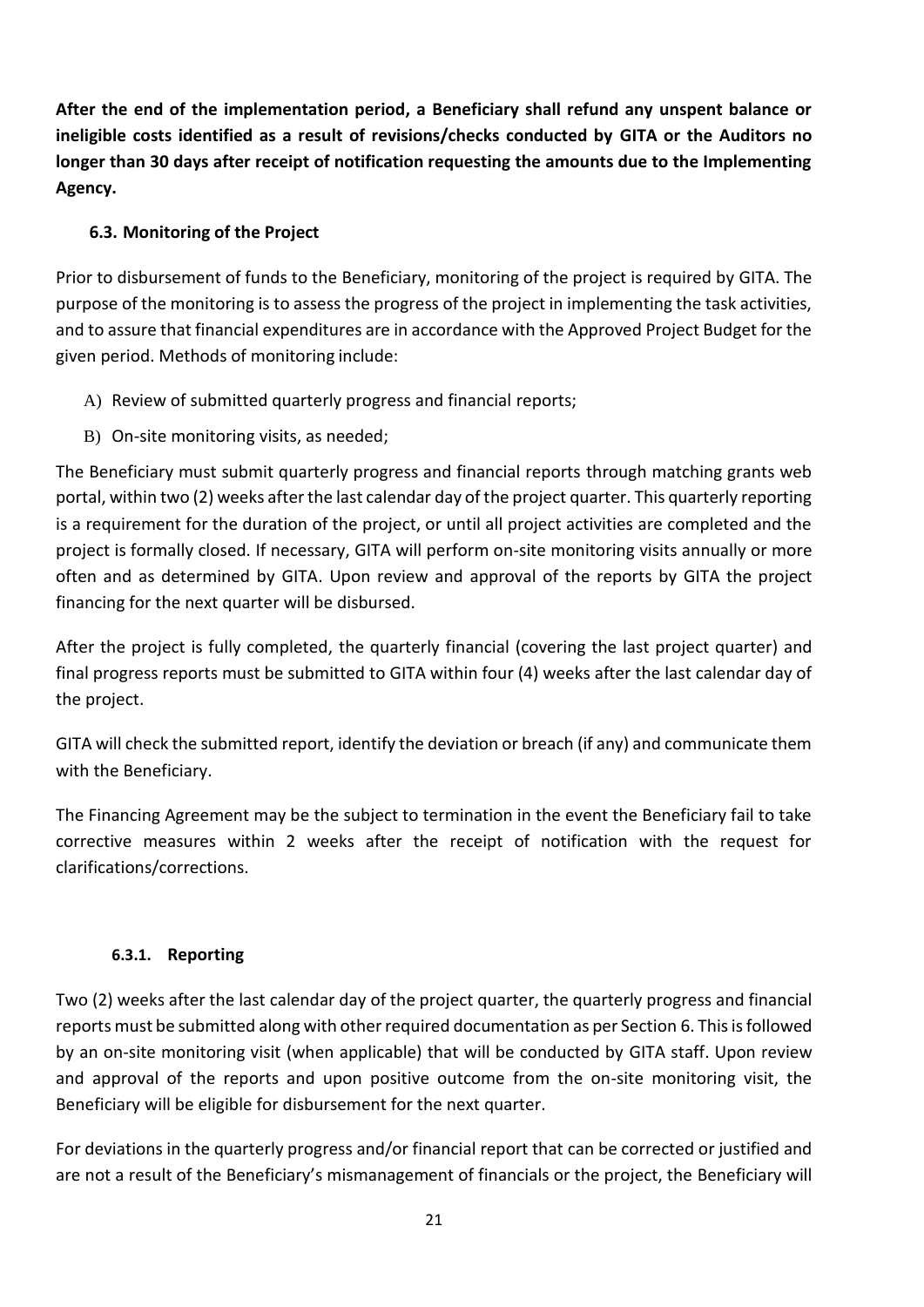**After the end of the implementation period, a Beneficiary shall refund any unspent balance or ineligible costs identified as a result of revisions/checks conducted by GITA or the Auditors no longer than 30 days after receipt of notification requesting the amounts due to the Implementing Agency.** 

## <span id="page-20-0"></span>**6.3. Monitoring of the Project**

Prior to disbursement of funds to the Beneficiary, monitoring of the project is required by GITA. The purpose of the monitoring is to assess the progress of the project in implementing the task activities, and to assure that financial expenditures are in accordance with the Approved Project Budget for the given period. Methods of monitoring include:

- A) Review of submitted quarterly progress and financial reports;
- B) On-site monitoring visits, as needed;

The Beneficiary must submit quarterly progress and financial reports through matching grants web portal, within two (2) weeks after the last calendar day of the project quarter. This quarterly reporting is a requirement for the duration of the project, or until all project activities are completed and the project is formally closed. If necessary, GITA will perform on-site monitoring visits annually or more often and as determined by GITA. Upon review and approval of the reports by GITA the project financing for the next quarter will be disbursed.

After the project is fully completed, the quarterly financial (covering the last project quarter) and final progress reports must be submitted to GITA within four (4) weeks after the last calendar day of the project.

GITA will check the submitted report, identify the deviation or breach (if any) and communicate them with the Beneficiary.

The Financing Agreement may be the subject to termination in the event the Beneficiary fail to take corrective measures within 2 weeks after the receipt of notification with the request for clarifications/corrections.

## **6.3.1. Reporting**

<span id="page-20-1"></span>Two (2) weeks after the last calendar day of the project quarter, the quarterly progress and financial reports must be submitted along with other required documentation as per Section 6. This is followed by an on-site monitoring visit (when applicable) that will be conducted by GITA staff. Upon review and approval of the reports and upon positive outcome from the on-site monitoring visit, the Beneficiary will be eligible for disbursement for the next quarter.

For deviations in the quarterly progress and/or financial report that can be corrected or justified and are not a result of the Beneficiary's mismanagement of financials or the project, the Beneficiary will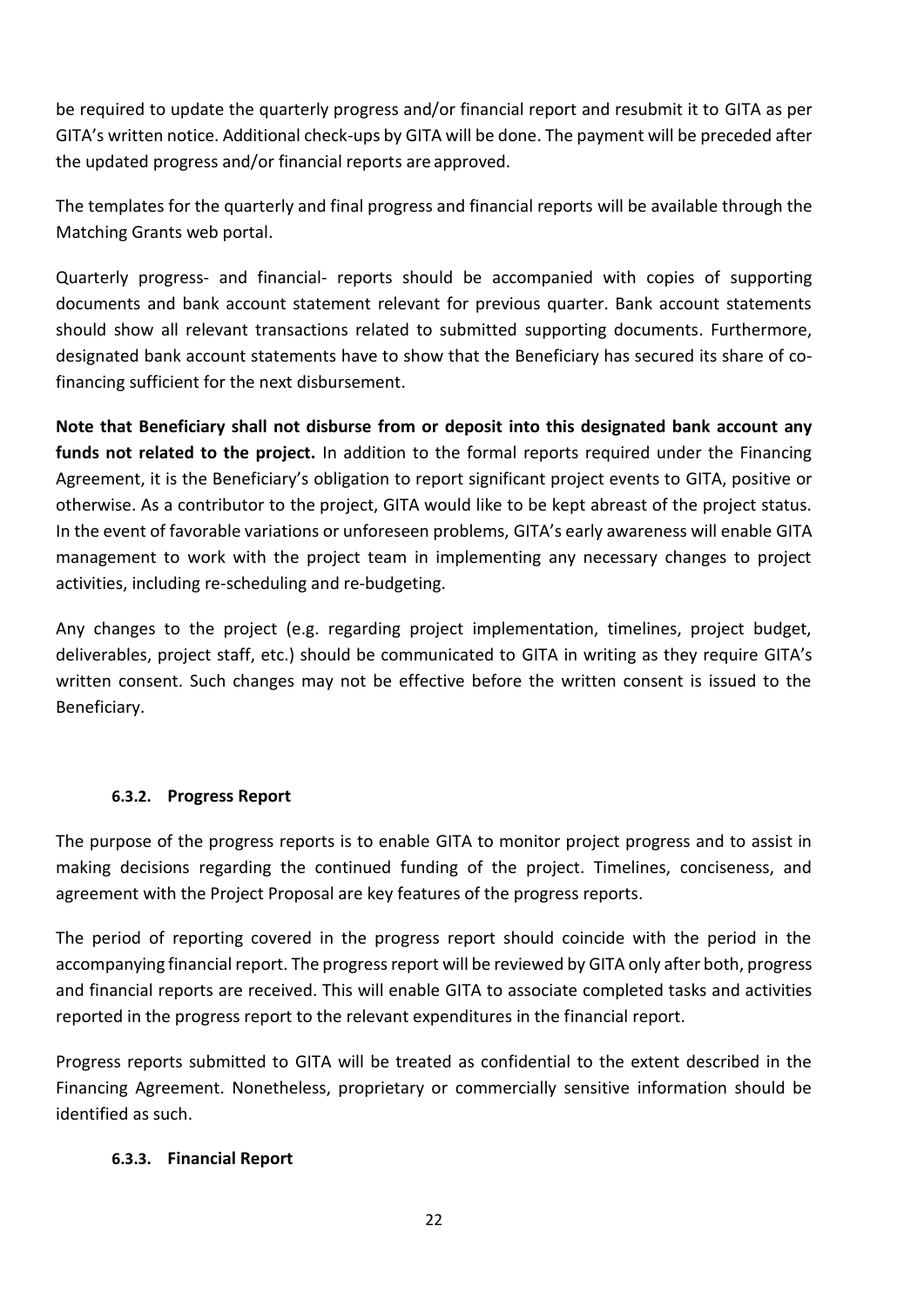be required to update the quarterly progress and/or financial report and resubmit it to GITA as per GITA's written notice. Additional check-ups by GITA will be done. The payment will be preceded after the updated progress and/or financial reports are approved.

The templates for the quarterly and final progress and financial reports will be available through the Matching Grants web portal.

Quarterly progress- and financial- reports should be accompanied with copies of supporting documents and bank account statement relevant for previous quarter. Bank account statements should show all relevant transactions related to submitted supporting documents. Furthermore, designated bank account statements have to show that the Beneficiary has secured its share of cofinancing sufficient for the next disbursement.

**Note that Beneficiary shall not disburse from or deposit into this designated bank account any funds not related to the project.** In addition to the formal reports required under the Financing Agreement, it is the Beneficiary's obligation to report significant project events to GITA, positive or otherwise. As a contributor to the project, GITA would like to be kept abreast of the project status. In the event of favorable variations or unforeseen problems, GITA's early awareness will enable GITA management to work with the project team in implementing any necessary changes to project activities, including re-scheduling and re-budgeting.

Any changes to the project (e.g. regarding project implementation, timelines, project budget, deliverables, project staff, etc.) should be communicated to GITA in writing as they require GITA's written consent. Such changes may not be effective before the written consent is issued to the Beneficiary.

#### **6.3.2. Progress Report**

<span id="page-21-0"></span>The purpose of the progress reports is to enable GITA to monitor project progress and to assist in making decisions regarding the continued funding of the project. Timelines, conciseness, and agreement with the Project Proposal are key features of the progress reports.

The period of reporting covered in the progress report should coincide with the period in the accompanying financial report. The progress report will be reviewed by GITA only after both, progress and financial reports are received. This will enable GITA to associate completed tasks and activities reported in the progress report to the relevant expenditures in the financial report.

Progress reports submitted to GITA will be treated as confidential to the extent described in the Financing Agreement. Nonetheless, proprietary or commercially sensitive information should be identified as such.

#### <span id="page-21-1"></span>**6.3.3. Financial Report**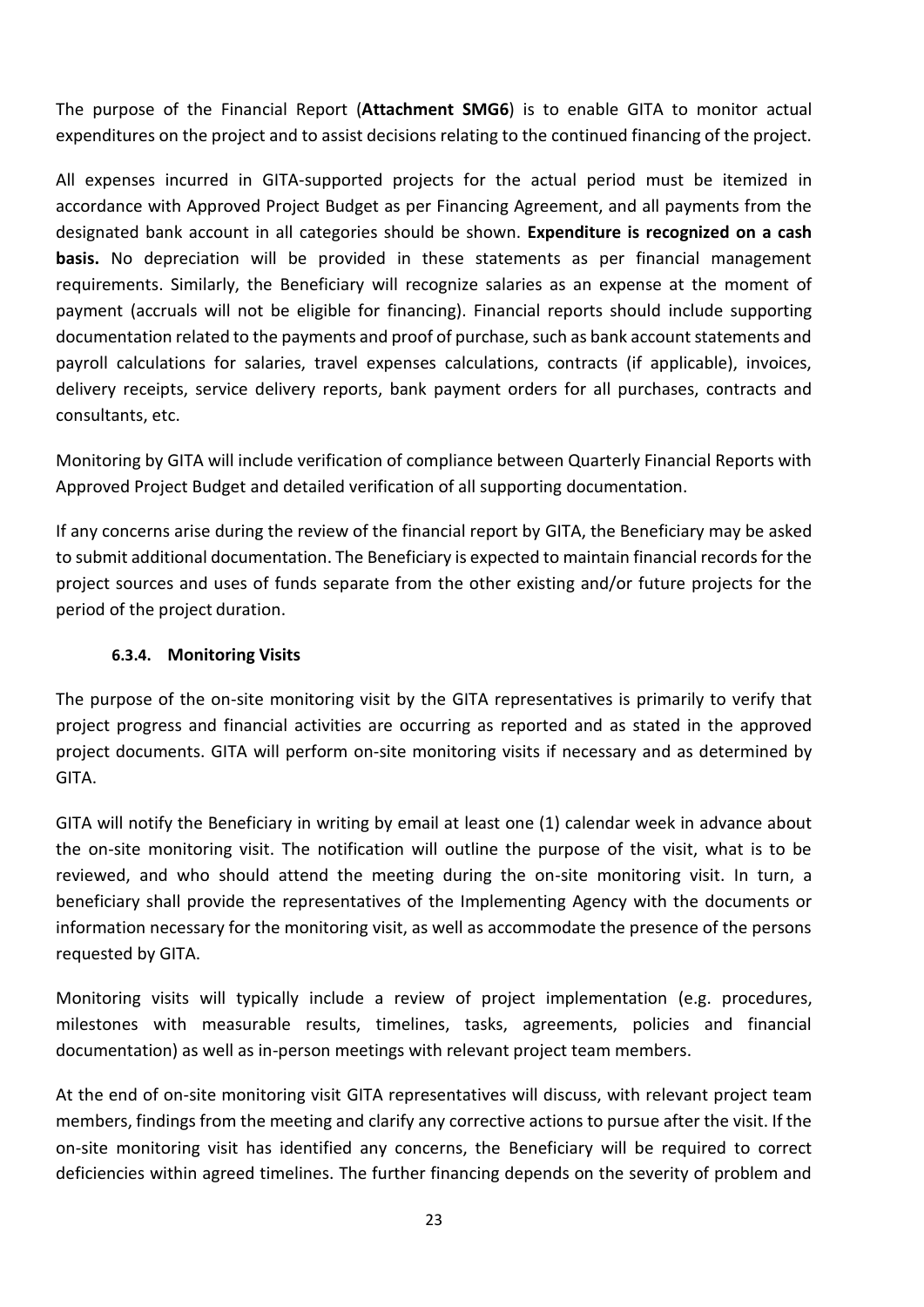The purpose of the Financial Report (**Attachment SMG6**) is to enable GITA to monitor actual expenditures on the project and to assist decisions relating to the continued financing of the project.

All expenses incurred in GITA-supported projects for the actual period must be itemized in accordance with Approved Project Budget as per Financing Agreement, and all payments from the designated bank account in all categories should be shown. **Expenditure is recognized on a cash basis.** No depreciation will be provided in these statements as per financial management requirements. Similarly, the Beneficiary will recognize salaries as an expense at the moment of payment (accruals will not be eligible for financing). Financial reports should include supporting documentation related to the payments and proof of purchase, such as bank account statements and payroll calculations for salaries, travel expenses calculations, contracts (if applicable), invoices, delivery receipts, service delivery reports, bank payment orders for all purchases, contracts and consultants, etc.

Monitoring by GITA will include verification of compliance between Quarterly Financial Reports with Approved Project Budget and detailed verification of all supporting documentation.

If any concerns arise during the review of the financial report by GITA, the Beneficiary may be asked to submit additional documentation. The Beneficiary is expected to maintain financial records for the project sources and uses of funds separate from the other existing and/or future projects for the period of the project duration.

#### **6.3.4. Monitoring Visits**

<span id="page-22-0"></span>The purpose of the on-site monitoring visit by the GITA representatives is primarily to verify that project progress and financial activities are occurring as reported and as stated in the approved project documents. GITA will perform on-site monitoring visits if necessary and as determined by GITA.

GITA will notify the Beneficiary in writing by email at least one (1) calendar week in advance about the on-site monitoring visit. The notification will outline the purpose of the visit, what is to be reviewed, and who should attend the meeting during the on-site monitoring visit. In turn, a beneficiary shall provide the representatives of the Implementing Agency with the documents or information necessary for the monitoring visit, as well as accommodate the presence of the persons requested by GITA.

Monitoring visits will typically include a review of project implementation (e.g. procedures, milestones with measurable results, timelines, tasks, agreements, policies and financial documentation) as well as in-person meetings with relevant project team members.

At the end of on-site monitoring visit GITA representatives will discuss, with relevant project team members, findings from the meeting and clarify any corrective actions to pursue after the visit. If the on-site monitoring visit has identified any concerns, the Beneficiary will be required to correct deficiencies within agreed timelines. The further financing depends on the severity of problem and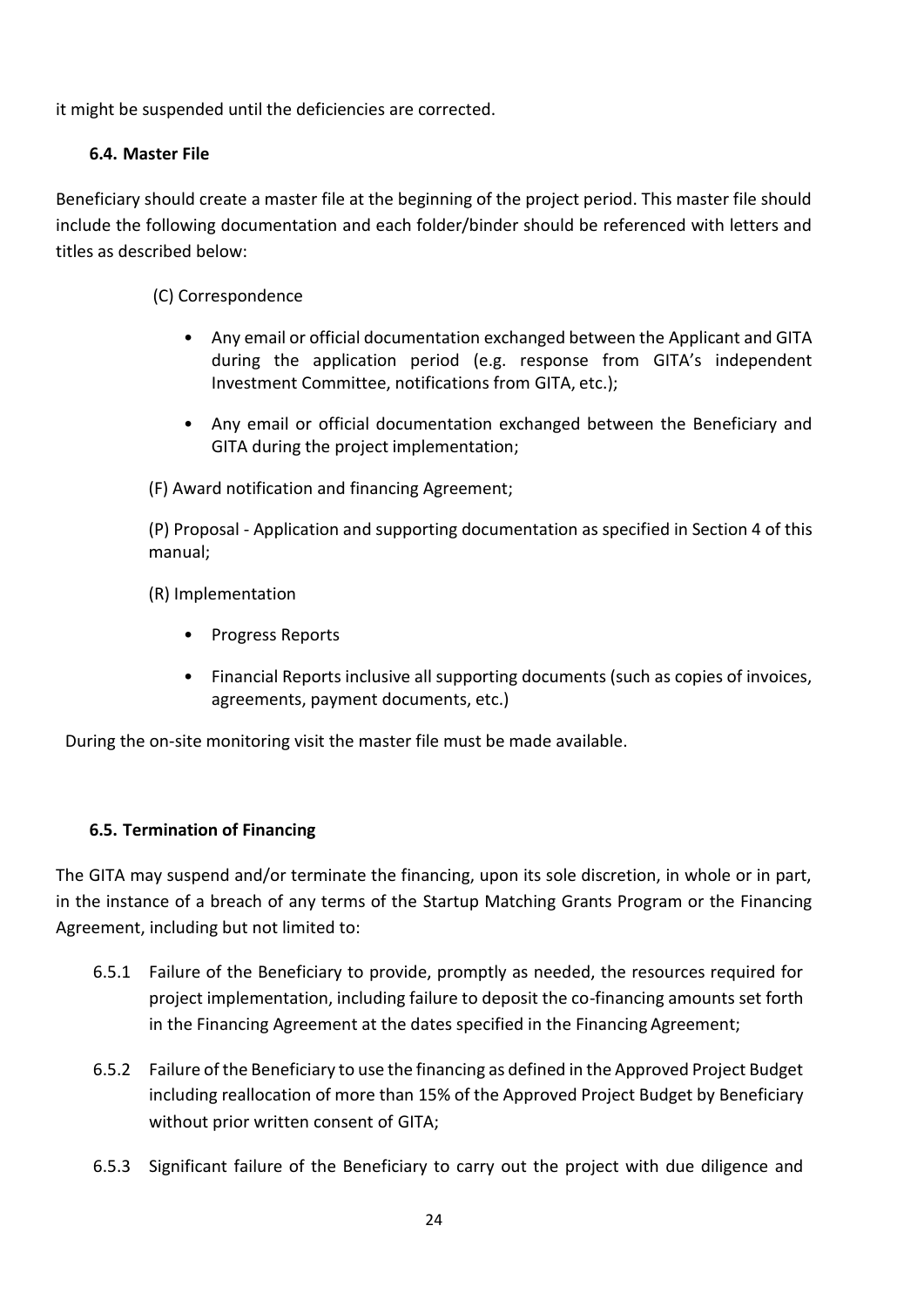it might be suspended until the deficiencies are corrected.

#### <span id="page-23-0"></span>**6.4. Master File**

Beneficiary should create a master file at the beginning of the project period. This master file should include the following documentation and each folder/binder should be referenced with letters and titles as described below:

(C) Correspondence

- Any email or official documentation exchanged between the Applicant and GITA during the application period (e.g. response from GITA's independent Investment Committee, notifications from GITA, etc.);
- Any email or official documentation exchanged between the Beneficiary and GITA during the project implementation;

(F) Award notification and financing Agreement;

(P) Proposal - Application and supporting documentation as specified in Section 4 of this manual;

(R) Implementation

- Progress Reports
- Financial Reports inclusive all supporting documents (such as copies of invoices, agreements, payment documents, etc.)

During the on-site monitoring visit the master file must be made available.

#### <span id="page-23-1"></span>**6.5. Termination of Financing**

The GITA may suspend and/or terminate the financing, upon its sole discretion, in whole or in part, in the instance of a breach of any terms of the Startup Matching Grants Program or the Financing Agreement, including but not limited to:

- 6.5.1 Failure of the Beneficiary to provide, promptly as needed, the resources required for project implementation, including failure to deposit the co-financing amounts set forth in the Financing Agreement at the dates specified in the Financing Agreement;
- 6.5.2 Failure of the Beneficiary to use the financing as defined in the Approved Project Budget including reallocation of more than 15% of the Approved Project Budget by Beneficiary without prior written consent of GITA;
- 6.5.3 Significant failure of the Beneficiary to carry out the project with due diligence and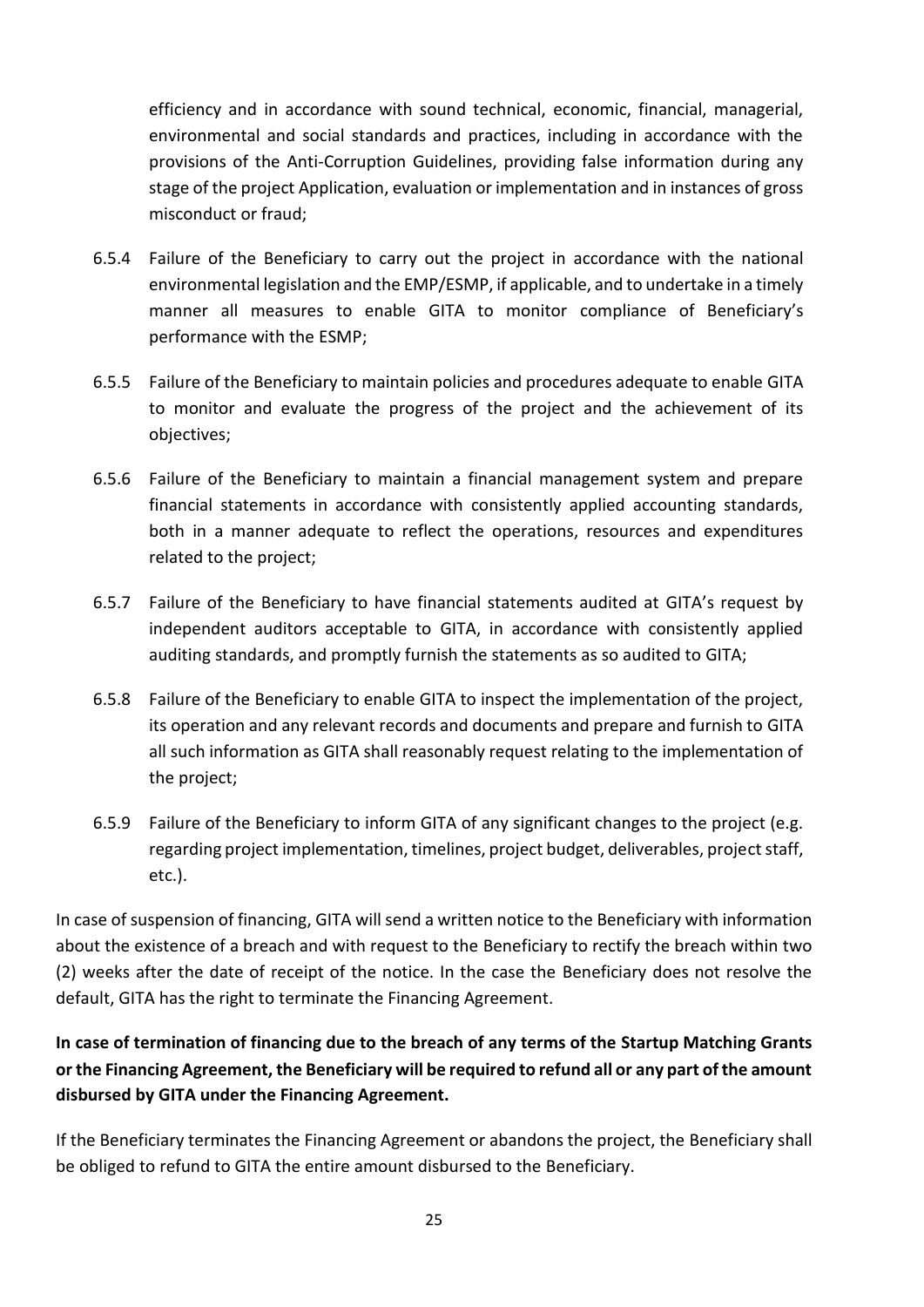efficiency and in accordance with sound technical, economic, financial, managerial, environmental and social standards and practices, including in accordance with the provisions of the Anti-Corruption Guidelines, providing false information during any stage of the project Application, evaluation or implementation and in instances of gross misconduct or fraud;

- 6.5.4 Failure of the Beneficiary to carry out the project in accordance with the national environmental legislation and the EMP/ESMP, if applicable, and to undertake in a timely manner all measures to enable GITA to monitor compliance of Beneficiary's performance with the ESMP;
- 6.5.5 Failure of the Beneficiary to maintain policies and procedures adequate to enable GITA to monitor and evaluate the progress of the project and the achievement of its objectives;
- 6.5.6 Failure of the Beneficiary to maintain a financial management system and prepare financial statements in accordance with consistently applied accounting standards, both in a manner adequate to reflect the operations, resources and expenditures related to the project;
- 6.5.7 Failure of the Beneficiary to have financial statements audited at GITA's request by independent auditors acceptable to GITA, in accordance with consistently applied auditing standards, and promptly furnish the statements as so audited to GITA;
- 6.5.8 Failure of the Beneficiary to enable GITA to inspect the implementation of the project, its operation and any relevant records and documents and prepare and furnish to GITA all such information as GITA shall reasonably request relating to the implementation of the project;
- 6.5.9 Failure of the Beneficiary to inform GITA of any significant changes to the project (e.g. regarding project implementation, timelines, project budget, deliverables, project staff, etc.).

In case of suspension of financing, GITA will send a written notice to the Beneficiary with information about the existence of a breach and with request to the Beneficiary to rectify the breach within two (2) weeks after the date of receipt of the notice. In the case the Beneficiary does not resolve the default, GITA has the right to terminate the Financing Agreement.

## **In case of termination of financing due to the breach of any terms of the Startup Matching Grants or the Financing Agreement, the Beneficiary will be required to refund all or any part of the amount disbursed by GITA under the Financing Agreement.**

If the Beneficiary terminates the Financing Agreement or abandons the project, the Beneficiary shall be obliged to refund to GITA the entire amount disbursed to the Beneficiary.